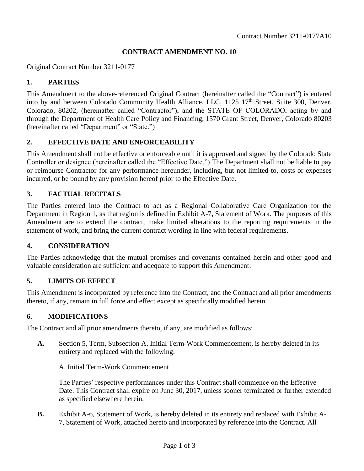#### **CONTRACT AMENDMENT NO. 10**

Original Contract Number 3211-0177

#### **1. PARTIES**

This Amendment to the above-referenced Original Contract (hereinafter called the "Contract") is entered into by and between Colorado Community Health Alliance, LLC, 1125 17<sup>th</sup> Street, Suite 300, Denver, Colorado, 80202, (hereinafter called "Contractor"), and the STATE OF COLORADO, acting by and through the Department of Health Care Policy and Financing, 1570 Grant Street, Denver, Colorado 80203 (hereinafter called "Department" or "State.")

#### **2. EFFECTIVE DATE AND ENFORCEABILITY**

This Amendment shall not be effective or enforceable until it is approved and signed by the Colorado State Controller or designee (hereinafter called the "Effective Date.") The Department shall not be liable to pay or reimburse Contractor for any performance hereunder, including, but not limited to, costs or expenses incurred, or be bound by any provision hereof prior to the Effective Date.

#### **3. FACTUAL RECITALS**

The Parties entered into the Contract to act as a Regional Collaborative Care Organization for the Department in Region 1, as that region is defined in Exhibit A-7**,** Statement of Work. The purposes of this Amendment are to extend the contract, make limited alterations to the reporting requirements in the statement of work, and bring the current contract wording in line with federal requirements.

#### **4. CONSIDERATION**

The Parties acknowledge that the mutual promises and covenants contained herein and other good and valuable consideration are sufficient and adequate to support this Amendment.

#### **5. LIMITS OF EFFECT**

This Amendment is incorporated by reference into the Contract, and the Contract and all prior amendments thereto, if any, remain in full force and effect except as specifically modified herein.

#### **6. MODIFICATIONS**

The Contract and all prior amendments thereto, if any, are modified as follows:

**A.** Section 5, Term, Subsection A, Initial Term-Work Commencement, is hereby deleted in its entirety and replaced with the following:

A. Initial Term-Work Commencement

The Parties' respective performances under this Contract shall commence on the Effective Date. This Contract shall expire on June 30, 2017, unless sooner terminated or further extended as specified elsewhere herein.

**B.** Exhibit A-6, Statement of Work, is hereby deleted in its entirety and replaced with Exhibit A-7, Statement of Work, attached hereto and incorporated by reference into the Contract. All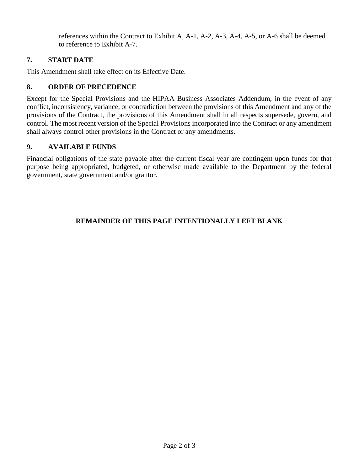references within the Contract to Exhibit A, A-1, A-2, A-3, A-4, A-5, or A-6 shall be deemed to reference to Exhibit A-7.

# **7. START DATE**

This Amendment shall take effect on its Effective Date.

# **8. ORDER OF PRECEDENCE**

Except for the Special Provisions and the HIPAA Business Associates Addendum, in the event of any conflict, inconsistency, variance, or contradiction between the provisions of this Amendment and any of the provisions of the Contract, the provisions of this Amendment shall in all respects supersede, govern, and control. The most recent version of the Special Provisions incorporated into the Contract or any amendment shall always control other provisions in the Contract or any amendments.

# **9. AVAILABLE FUNDS**

Financial obligations of the state payable after the current fiscal year are contingent upon funds for that purpose being appropriated, budgeted, or otherwise made available to the Department by the federal government, state government and/or grantor.

# **REMAINDER OF THIS PAGE INTENTIONALLY LEFT BLANK**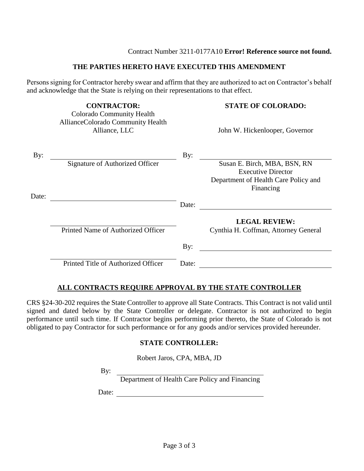#### Contract Number 3211-0177A10 **Error! Reference source not found.**

#### **THE PARTIES HERETO HAVE EXECUTED THIS AMENDMENT**

Persons signing for Contractor hereby swear and affirm that they are authorized to act on Contractor's behalf and acknowledge that the State is relying on their representations to that effect.

**CONTRACTOR: STATE OF COLORADO:**

# Alliance, LLC John W. Hickenlooper, Governor By: By: Signature of Authorized Officer Susan E. Birch, MBA, BSN, RN Executive Director Department of Health Care Policy and Financing Date: Date: **LEGAL REVIEW:** Printed Name of Authorized Officer Cynthia H. Coffman, Attorney General By: Printed Title of Authorized Officer Date:

#### **ALL CONTRACTS REQUIRE APPROVAL BY THE STATE CONTROLLER**

CRS §24-30-202 requires the State Controller to approve all State Contracts. This Contract is not valid until signed and dated below by the State Controller or delegate. Contractor is not authorized to begin performance until such time. If Contractor begins performing prior thereto, the State of Colorado is not obligated to pay Contractor for such performance or for any goods and/or services provided hereunder.

#### **STATE CONTROLLER:**

Robert Jaros, CPA, MBA, JD

By:

Colorado Community Health AllianceColorado Community Health

Department of Health Care Policy and Financing

Date: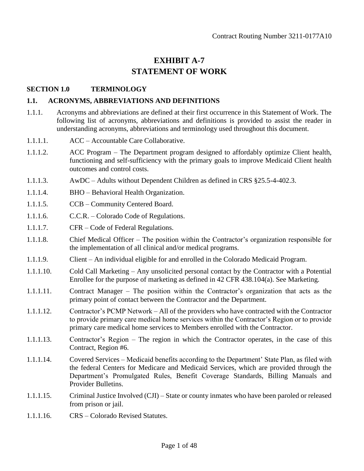# **EXHIBIT A-7 STATEMENT OF WORK**

#### **SECTION 1.0 TERMINOLOGY**

#### **1.1. ACRONYMS, ABBREVIATIONS AND DEFINITIONS**

- 1.1.1. Acronyms and abbreviations are defined at their first occurrence in this Statement of Work. The following list of acronyms, abbreviations and definitions is provided to assist the reader in understanding acronyms, abbreviations and terminology used throughout this document.
- 1.1.1.1. ACC Accountable Care Collaborative.
- 1.1.1.2. ACC Program The Department program designed to affordably optimize Client health, functioning and self-sufficiency with the primary goals to improve Medicaid Client health outcomes and control costs.
- 1.1.1.3. AwDC Adults without Dependent Children as defined in CRS §25.5-4-402.3.
- 1.1.1.4. BHO Behavioral Health Organization.
- 1.1.1.5. CCB Community Centered Board.
- 1.1.1.6. C.C.R. Colorado Code of Regulations.
- 1.1.1.7. CFR Code of Federal Regulations.
- 1.1.1.8. Chief Medical Officer The position within the Contractor's organization responsible for the implementation of all clinical and/or medical programs.
- 1.1.1.9. Client An individual eligible for and enrolled in the Colorado Medicaid Program.
- 1.1.1.10. Cold Call Marketing Any unsolicited personal contact by the Contractor with a Potential Enrollee for the purpose of marketing as defined in 42 CFR 438.104(a). See Marketing.
- 1.1.1.11. Contract Manager The position within the Contractor's organization that acts as the primary point of contact between the Contractor and the Department.
- 1.1.1.12. Contractor's PCMP Network All of the providers who have contracted with the Contractor to provide primary care medical home services within the Contractor's Region or to provide primary care medical home services to Members enrolled with the Contractor.
- 1.1.1.13. Contractor's Region The region in which the Contractor operates, in the case of this Contract, Region #6.
- 1.1.1.14. Covered Services Medicaid benefits according to the Department' State Plan, as filed with the federal Centers for Medicare and Medicaid Services, which are provided through the Department's Promulgated Rules, Benefit Coverage Standards, Billing Manuals and Provider Bulletins.
- 1.1.1.15. Criminal Justice Involved (CJI) State or county inmates who have been paroled or released from prison or jail.
- 1.1.1.16. CRS Colorado Revised Statutes.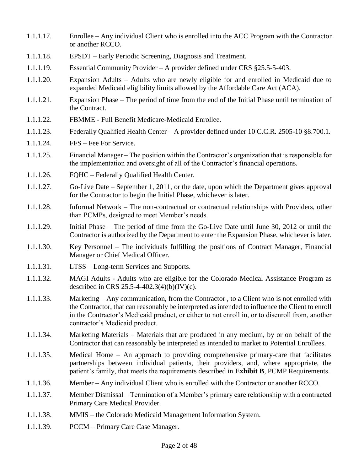- 1.1.1.17. Enrollee Any individual Client who is enrolled into the ACC Program with the Contractor or another RCCO.
- 1.1.1.18. EPSDT Early Periodic Screening, Diagnosis and Treatment.
- 1.1.1.19. Essential Community Provider A provider defined under CRS §25.5-5-403.
- 1.1.1.20. Expansion Adults Adults who are newly eligible for and enrolled in Medicaid due to expanded Medicaid eligibility limits allowed by the Affordable Care Act (ACA).
- 1.1.1.21. Expansion Phase The period of time from the end of the Initial Phase until termination of the Contract.
- 1.1.1.22. FBMME Full Benefit Medicare-Medicaid Enrollee.
- 1.1.1.23. Federally Qualified Health Center A provider defined under 10 C.C.R. 2505-10 §8.700.1.
- 1.1.1.24. FFS Fee For Service.
- 1.1.1.25. Financial Manager The position within the Contractor's organization that is responsible for the implementation and oversight of all of the Contractor's financial operations.
- 1.1.1.26. FQHC Federally Qualified Health Center.
- 1.1.1.27. Go-Live Date September 1, 2011, or the date, upon which the Department gives approval for the Contractor to begin the Initial Phase, whichever is later.
- 1.1.1.28. Informal Network The non-contractual or contractual relationships with Providers, other than PCMPs, designed to meet Member's needs.
- 1.1.1.29. Initial Phase The period of time from the Go-Live Date until June 30, 2012 or until the Contractor is authorized by the Department to enter the Expansion Phase, whichever is later.
- 1.1.1.30. Key Personnel The individuals fulfilling the positions of Contract Manager, Financial Manager or Chief Medical Officer.
- 1.1.1.31. LTSS Long-term Services and Supports.
- 1.1.1.32. MAGI Adults Adults who are eligible for the Colorado Medical Assistance Program as described in CRS 25.5-4-402.3(4)(b)(IV)(c).
- 1.1.1.33. Marketing Any communication, from the Contractor , to a Client who is not enrolled with the Contractor, that can reasonably be interpreted as intended to influence the Client to enroll in the Contractor's Medicaid product, or either to not enroll in, or to disenroll from, another contractor's Medicaid product.
- 1.1.1.34. Marketing Materials Materials that are produced in any medium, by or on behalf of the Contractor that can reasonably be interpreted as intended to market to Potential Enrollees.
- 1.1.1.35. Medical Home An approach to providing comprehensive primary-care that facilitates partnerships between individual patients, their providers, and, where appropriate, the patient's family, that meets the requirements described in **Exhibit B**, PCMP Requirements.
- 1.1.1.36. Member Any individual Client who is enrolled with the Contractor or another RCCO.
- 1.1.1.37. Member Dismissal Termination of a Member's primary care relationship with a contracted Primary Care Medical Provider.
- 1.1.1.38. MMIS the Colorado Medicaid Management Information System.
- 1.1.1.39. PCCM Primary Care Case Manager.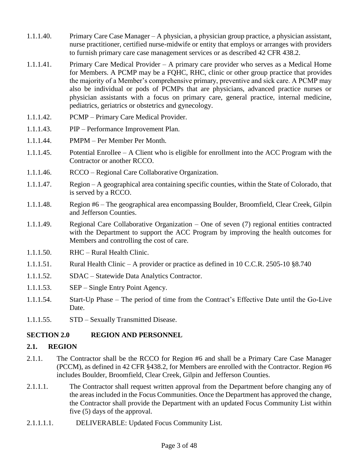- 1.1.1.40. Primary Care Case Manager A physician, a physician group practice, a physician assistant, nurse practitioner, certified nurse-midwife or entity that employs or arranges with providers to furnish primary care case management services or as described 42 CFR 438.2.
- 1.1.1.41. Primary Care Medical Provider A primary care provider who serves as a Medical Home for Members. A PCMP may be a FQHC, RHC, clinic or other group practice that provides the majority of a Member's comprehensive primary, preventive and sick care. A PCMP may also be individual or pods of PCMPs that are physicians, advanced practice nurses or physician assistants with a focus on primary care, general practice, internal medicine, pediatrics, geriatrics or obstetrics and gynecology.
- 1.1.1.42. PCMP Primary Care Medical Provider.
- 1.1.1.43. PIP Performance Improvement Plan.
- 1.1.1.44. PMPM Per Member Per Month.
- 1.1.1.45. Potential Enrollee A Client who is eligible for enrollment into the ACC Program with the Contractor or another RCCO.
- 1.1.1.46. RCCO Regional Care Collaborative Organization.
- 1.1.1.47. Region A geographical area containing specific counties, within the State of Colorado, that is served by a RCCO.
- 1.1.1.48. Region #6 The geographical area encompassing Boulder, Broomfield, Clear Creek, Gilpin and Jefferson Counties.
- 1.1.1.49. Regional Care Collaborative Organization One of seven (7) regional entities contracted with the Department to support the ACC Program by improving the health outcomes for Members and controlling the cost of care.
- 1.1.1.50. RHC Rural Health Clinic.
- 1.1.1.51. Rural Health Clinic A provider or practice as defined in 10 C.C.R. 2505-10 §8.740
- 1.1.1.52. SDAC Statewide Data Analytics Contractor.
- 1.1.1.53. SEP Single Entry Point Agency.
- 1.1.1.54. Start-Up Phase The period of time from the Contract's Effective Date until the Go-Live Date.
- 1.1.1.55. STD Sexually Transmitted Disease.

#### **SECTION 2.0 REGION AND PERSONNEL**

#### **2.1. REGION**

- 2.1.1. The Contractor shall be the RCCO for Region #6 and shall be a Primary Care Case Manager (PCCM), as defined in 42 CFR §438.2, for Members are enrolled with the Contractor. Region #6 includes Boulder, Broomfield, Clear Creek, Gilpin and Jefferson Counties.
- 2.1.1.1. The Contractor shall request written approval from the Department before changing any of the areas included in the Focus Communities. Once the Department has approved the change, the Contractor shall provide the Department with an updated Focus Community List within five (5) days of the approval.
- 2.1.1.1.1. DELIVERABLE: Updated Focus Community List.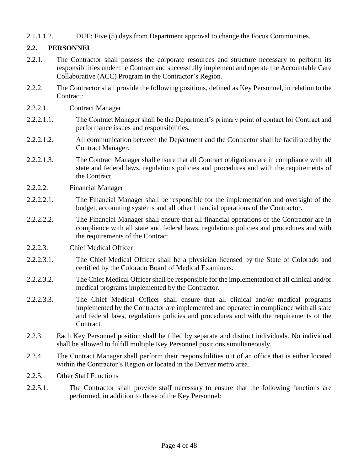2.1.1.1.2. DUE: Five (5) days from Department approval to change the Focus Communities.

# **2.2. PERSONNEL**

- 2.2.1. The Contractor shall possess the corporate resources and structure necessary to perform its responsibilities under the Contract and successfully implement and operate the Accountable Care Collaborative (ACC) Program in the Contractor's Region.
- 2.2.2. The Contractor shall provide the following positions, defined as Key Personnel, in relation to the Contract:
- 2.2.2.1. Contract Manager
- 2.2.2.1.1. The Contract Manager shall be the Department's primary point of contact for Contract and performance issues and responsibilities.
- 2.2.2.1.2. All communication between the Department and the Contractor shall be facilitated by the Contract Manager.
- 2.2.2.1.3. The Contract Manager shall ensure that all Contract obligations are in compliance with all state and federal laws, regulations policies and procedures and with the requirements of the Contract.
- 2.2.2.2. Financial Manager
- 2.2.2.2.1. The Financial Manager shall be responsible for the implementation and oversight of the budget, accounting systems and all other financial operations of the Contractor.
- 2.2.2.2.2. The Financial Manager shall ensure that all financial operations of the Contractor are in compliance with all state and federal laws, regulations policies and procedures and with the requirements of the Contract.
- 2.2.2.3. Chief Medical Officer
- 2.2.2.3.1. The Chief Medical Officer shall be a physician licensed by the State of Colorado and certified by the Colorado Board of Medical Examiners.
- 2.2.2.3.2. The Chief Medical Officer shall be responsible for the implementation of all clinical and/or medical programs implemented by the Contractor.
- 2.2.2.3.3. The Chief Medical Officer shall ensure that all clinical and/or medical programs implemented by the Contractor are implemented and operated in compliance with all state and federal laws, regulations policies and procedures and with the requirements of the Contract.
- 2.2.3. Each Key Personnel position shall be filled by separate and distinct individuals. No individual shall be allowed to fulfill multiple Key Personnel positions simultaneously.
- 2.2.4. The Contract Manager shall perform their responsibilities out of an office that is either located within the Contractor's Region or located in the Denver metro area.
- 2.2.5. Other Staff Functions
- 2.2.5.1. The Contractor shall provide staff necessary to ensure that the following functions are performed, in addition to those of the Key Personnel: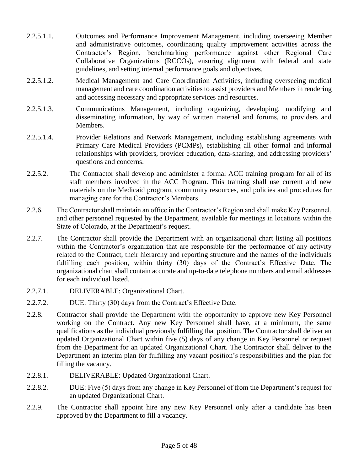- 2.2.5.1.1. Outcomes and Performance Improvement Management, including overseeing Member and administrative outcomes, coordinating quality improvement activities across the Contractor's Region, benchmarking performance against other Regional Care Collaborative Organizations (RCCOs), ensuring alignment with federal and state guidelines, and setting internal performance goals and objectives.
- 2.2.5.1.2. Medical Management and Care Coordination Activities, including overseeing medical management and care coordination activities to assist providers and Members in rendering and accessing necessary and appropriate services and resources.
- 2.2.5.1.3. Communications Management, including organizing, developing, modifying and disseminating information, by way of written material and forums, to providers and Members.
- 2.2.5.1.4. Provider Relations and Network Management, including establishing agreements with Primary Care Medical Providers (PCMPs), establishing all other formal and informal relationships with providers, provider education, data-sharing, and addressing providers' questions and concerns.
- 2.2.5.2. The Contractor shall develop and administer a formal ACC training program for all of its staff members involved in the ACC Program. This training shall use current and new materials on the Medicaid program, community resources, and policies and procedures for managing care for the Contractor's Members.
- 2.2.6. The Contractor shall maintain an office in the Contractor's Region and shall make Key Personnel, and other personnel requested by the Department, available for meetings in locations within the State of Colorado, at the Department's request.
- 2.2.7. The Contractor shall provide the Department with an organizational chart listing all positions within the Contractor's organization that are responsible for the performance of any activity related to the Contract, their hierarchy and reporting structure and the names of the individuals fulfilling each position, within thirty (30) days of the Contract's Effective Date. The organizational chart shall contain accurate and up-to-date telephone numbers and email addresses for each individual listed.
- 2.2.7.1. DELIVERABLE: Organizational Chart.
- 2.2.7.2. DUE: Thirty (30) days from the Contract's Effective Date.
- 2.2.8. Contractor shall provide the Department with the opportunity to approve new Key Personnel working on the Contract. Any new Key Personnel shall have, at a minimum, the same qualifications as the individual previously fulfilling that position. The Contractor shall deliver an updated Organizational Chart within five (5) days of any change in Key Personnel or request from the Department for an updated Organizational Chart. The Contractor shall deliver to the Department an interim plan for fulfilling any vacant position's responsibilities and the plan for filling the vacancy.
- 2.2.8.1. DELIVERABLE: Updated Organizational Chart.
- 2.2.8.2. DUE: Five (5) days from any change in Key Personnel of from the Department's request for an updated Organizational Chart.
- 2.2.9. The Contractor shall appoint hire any new Key Personnel only after a candidate has been approved by the Department to fill a vacancy.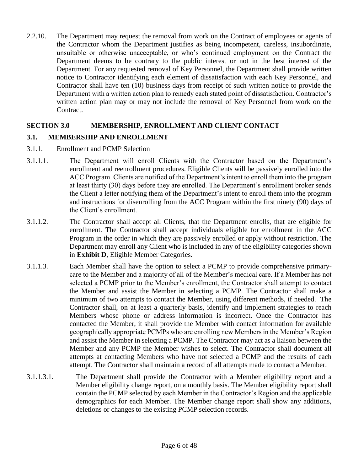2.2.10. The Department may request the removal from work on the Contract of employees or agents of the Contractor whom the Department justifies as being incompetent, careless, insubordinate, unsuitable or otherwise unacceptable, or who's continued employment on the Contract the Department deems to be contrary to the public interest or not in the best interest of the Department. For any requested removal of Key Personnel, the Department shall provide written notice to Contractor identifying each element of dissatisfaction with each Key Personnel, and Contractor shall have ten (10) business days from receipt of such written notice to provide the Department with a written action plan to remedy each stated point of dissatisfaction. Contractor's written action plan may or may not include the removal of Key Personnel from work on the Contract.

# **SECTION 3.0 MEMBERSHIP, ENROLLMENT AND CLIENT CONTACT**

# **3.1. MEMBERSHIP AND ENROLLMENT**

- 3.1.1. Enrollment and PCMP Selection
- 3.1.1.1. The Department will enroll Clients with the Contractor based on the Department's enrollment and reenrollment procedures. Eligible Clients will be passively enrolled into the ACC Program. Clients are notified of the Department's intent to enroll them into the program at least thirty (30) days before they are enrolled. The Department's enrollment broker sends the Client a letter notifying them of the Department's intent to enroll them into the program and instructions for disenrolling from the ACC Program within the first ninety (90) days of the Client's enrollment.
- 3.1.1.2. The Contractor shall accept all Clients, that the Department enrolls, that are eligible for enrollment. The Contractor shall accept individuals eligible for enrollment in the ACC Program in the order in which they are passively enrolled or apply without restriction. The Department may enroll any Client who is included in any of the eligibility categories shown in **Exhibit D**, Eligible Member Categories.
- 3.1.1.3. Each Member shall have the option to select a PCMP to provide comprehensive primarycare to the Member and a majority of all of the Member's medical care. If a Member has not selected a PCMP prior to the Member's enrollment, the Contractor shall attempt to contact the Member and assist the Member in selecting a PCMP. The Contractor shall make a minimum of two attempts to contact the Member, using different methods, if needed. The Contractor shall, on at least a quarterly basis, identify and implement strategies to reach Members whose phone or address information is incorrect. Once the Contractor has contacted the Member, it shall provide the Member with contact information for available geographically appropriate PCMPs who are enrolling new Members in the Member's Region and assist the Member in selecting a PCMP. The Contractor may act as a liaison between the Member and any PCMP the Member wishes to select. The Contractor shall document all attempts at contacting Members who have not selected a PCMP and the results of each attempt. The Contractor shall maintain a record of all attempts made to contact a Member.
- 3.1.1.3.1. The Department shall provide the Contractor with a Member eligibility report and a Member eligibility change report, on a monthly basis. The Member eligibility report shall contain the PCMP selected by each Member in the Contractor's Region and the applicable demographics for each Member. The Member change report shall show any additions, deletions or changes to the existing PCMP selection records.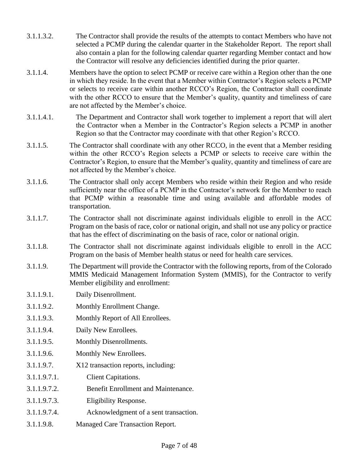- 3.1.1.3.2. The Contractor shall provide the results of the attempts to contact Members who have not selected a PCMP during the calendar quarter in the Stakeholder Report. The report shall also contain a plan for the following calendar quarter regarding Member contact and how the Contractor will resolve any deficiencies identified during the prior quarter.
- 3.1.1.4. Members have the option to select PCMP or receive care within a Region other than the one in which they reside. In the event that a Member within Contractor's Region selects a PCMP or selects to receive care within another RCCO's Region, the Contractor shall coordinate with the other RCCO to ensure that the Member's quality, quantity and timeliness of care are not affected by the Member's choice.
- 3.1.1.4.1. The Department and Contractor shall work together to implement a report that will alert the Contractor when a Member in the Contractor's Region selects a PCMP in another Region so that the Contractor may coordinate with that other Region's RCCO.
- 3.1.1.5. The Contractor shall coordinate with any other RCCO, in the event that a Member residing within the other RCCO's Region selects a PCMP or selects to receive care within the Contractor's Region, to ensure that the Member's quality, quantity and timeliness of care are not affected by the Member's choice.
- 3.1.1.6. The Contractor shall only accept Members who reside within their Region and who reside sufficiently near the office of a PCMP in the Contractor's network for the Member to reach that PCMP within a reasonable time and using available and affordable modes of transportation.
- 3.1.1.7. The Contractor shall not discriminate against individuals eligible to enroll in the ACC Program on the basis of race, color or national origin, and shall not use any policy or practice that has the effect of discriminating on the basis of race, color or national origin.
- 3.1.1.8. The Contractor shall not discriminate against individuals eligible to enroll in the ACC Program on the basis of Member health status or need for health care services.
- 3.1.1.9. The Department will provide the Contractor with the following reports, from of the Colorado MMIS Medicaid Management Information System (MMIS), for the Contractor to verify Member eligibility and enrollment:
- 3.1.1.9.1. Daily Disenrollment.
- 3.1.1.9.2. Monthly Enrollment Change.
- 3.1.1.9.3. Monthly Report of All Enrollees.
- 3.1.1.9.4. Daily New Enrollees.
- 3.1.1.9.5. Monthly Disenrollments.
- 3.1.1.9.6. Monthly New Enrollees.
- 3.1.1.9.7. X12 transaction reports, including:
- 3.1.1.9.7.1. Client Capitations.
- 3.1.1.9.7.2. Benefit Enrollment and Maintenance.
- 3.1.1.9.7.3. Eligibility Response.
- 3.1.1.9.7.4. Acknowledgment of a sent transaction.
- 3.1.1.9.8. Managed Care Transaction Report.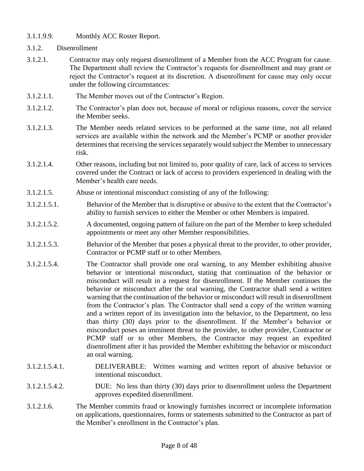- 3.1.1.9.9. Monthly ACC Roster Report.
- 3.1.2. Disenrollment
- 3.1.2.1. Contractor may only request disenrollment of a Member from the ACC Program for cause. The Department shall review the Contractor's requests for disenrollment and may grant or reject the Contractor's request at its discretion. A disenrollment for cause may only occur under the following circumstances:
- 3.1.2.1.1. The Member moves out of the Contractor's Region.
- 3.1.2.1.2. The Contractor's plan does not, because of moral or religious reasons, cover the service the Member seeks.
- 3.1.2.1.3. The Member needs related services to be performed at the same time, not all related services are available within the network and the Member's PCMP or another provider determines that receiving the services separately would subject the Member to unnecessary risk.
- 3.1.2.1.4. Other reasons, including but not limited to, poor quality of care, lack of access to services covered under the Contract or lack of access to providers experienced in dealing with the Member's health care needs.
- 3.1.2.1.5. Abuse or intentional misconduct consisting of any of the following:
- 3.1.2.1.5.1. Behavior of the Member that is disruptive or abusive to the extent that the Contractor's ability to furnish services to either the Member or other Members is impaired.
- 3.1.2.1.5.2. A documented, ongoing pattern of failure on the part of the Member to keep scheduled appointments or meet any other Member responsibilities.
- 3.1.2.1.5.3. Behavior of the Member that poses a physical threat to the provider, to other provider, Contractor or PCMP staff or to other Members.
- 3.1.2.1.5.4. The Contractor shall provide one oral warning, to any Member exhibiting abusive behavior or intentional misconduct, stating that continuation of the behavior or misconduct will result in a request for disenrollment. If the Member continues the behavior or misconduct after the oral warning, the Contractor shall send a written warning that the continuation of the behavior or misconduct will result in disenrollment from the Contractor's plan. The Contractor shall send a copy of the written warning and a written report of its investigation into the behavior, to the Department, no less than thirty (30) days prior to the disenrollment. If the Member's behavior or misconduct poses an imminent threat to the provider, to other provider, Contractor or PCMP staff or to other Members, the Contractor may request an expedited disenrollment after it has provided the Member exhibiting the behavior or misconduct an oral warning.
- 3.1.2.1.5.4.1. DELIVERABLE: Written warning and written report of abusive behavior or intentional misconduct.
- 3.1.2.1.5.4.2. DUE: No less than thirty (30) days prior to disenrollment unless the Department approves expedited disenrollment.
- 3.1.2.1.6. The Member commits fraud or knowingly furnishes incorrect or incomplete information on applications, questionnaires, forms or statements submitted to the Contractor as part of the Member's enrollment in the Contractor's plan.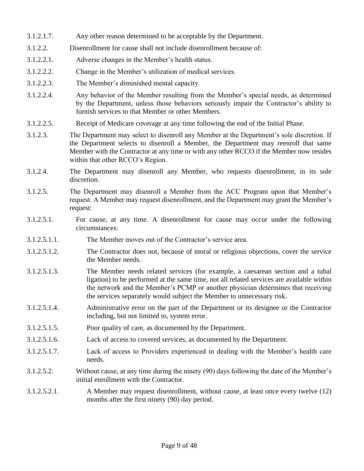- 3.1.2.1.7. Any other reason determined to be acceptable by the Department.
- 3.1.2.2. Disenrollment for cause shall not include disenrollment because of:
- 3.1.2.2.1. Adverse changes in the Member's health status.
- 3.1.2.2.2. Change in the Member's utilization of medical services.
- 3.1.2.2.3. The Member's diminished mental capacity.
- 3.1.2.2.4. Any behavior of the Member resulting from the Member's special needs, as determined by the Department, unless those behaviors seriously impair the Contractor's ability to furnish services to that Member or other Members.
- 3.1.2.2.5. Receipt of Medicare coverage at any time following the end of the Initial Phase.
- 3.1.2.3. The Department may select to disenroll any Member at the Department's sole discretion. If the Department selects to disenroll a Member, the Department may reenroll that same Member with the Contractor at any time or with any other RCCO if the Member now resides within that other RCCO's Region.
- 3.1.2.4. The Department may disenroll any Member, who requests disenrollment, in its sole discretion.
- 3.1.2.5. The Department may disenroll a Member from the ACC Program upon that Member's request. A Member may request disenrollment, and the Department may grant the Member's request:
- 3.1.2.5.1. For cause, at any time. A disenrollment for cause may occur under the following circumstances:
- 3.1.2.5.1.1. The Member moves out of the Contractor's service area.
- 3.1.2.5.1.2. The Contractor does not, because of moral or religious objections, cover the service the Member needs.
- 3.1.2.5.1.3. The Member needs related services (for example, a caesarean section and a tubal ligation) to be performed at the same time, not all related services are available within the network and the Member's PCMP or another physician determines that receiving the services separately would subject the Member to unnecessary risk.
- 3.1.2.5.1.4. Administrative error on the part of the Department or its designee or the Contractor including, but not limited to, system error.
- 3.1.2.5.1.5. Poor quality of care, as documented by the Department.
- 3.1.2.5.1.6. Lack of access to covered services, as documented by the Department.
- 3.1.2.5.1.7. Lack of access to Providers experienced in dealing with the Member's health care needs.
- 3.1.2.5.2. Without cause, at any time during the ninety (90) days following the date of the Member's initial enrollment with the Contractor.
- 3.1.2.5.2.1. A Member may request disenrollment, without cause, at least once every twelve (12) months after the first ninety (90) day period.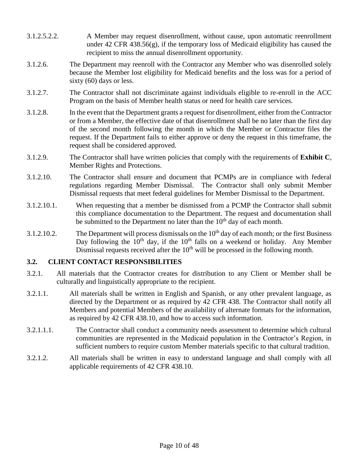- 3.1.2.5.2.2. A Member may request disenrollment, without cause, upon automatic reenrollment under 42 CFR 438.56(g), if the temporary loss of Medicaid eligibility has caused the recipient to miss the annual disenrollment opportunity.
- 3.1.2.6. The Department may reenroll with the Contractor any Member who was disenrolled solely because the Member lost eligibility for Medicaid benefits and the loss was for a period of sixty (60) days or less.
- 3.1.2.7. The Contractor shall not discriminate against individuals eligible to re-enroll in the ACC Program on the basis of Member health status or need for health care services.
- 3.1.2.8. In the event that the Department grants a request for disenrollment, either from the Contractor or from a Member, the effective date of that disenrollment shall be no later than the first day of the second month following the month in which the Member or Contractor files the request. If the Department fails to either approve or deny the request in this timeframe, the request shall be considered approved.
- 3.1.2.9. The Contractor shall have written policies that comply with the requirements of **Exhibit C**, Member Rights and Protections.
- 3.1.2.10. The Contractor shall ensure and document that PCMPs are in compliance with federal regulations regarding Member Dismissal. The Contractor shall only submit Member Dismissal requests that meet federal guidelines for Member Dismissal to the Department.
- 3.1.2.10.1. When requesting that a member be dismissed from a PCMP the Contractor shall submit this compliance documentation to the Department. The request and documentation shall be submitted to the Department no later than the  $10<sup>th</sup>$  day of each month.
- 3.1.2.10.2. The Department will process dismissals on the  $10<sup>th</sup>$  day of each month; or the first Business Day following the  $10<sup>th</sup>$  day, if the  $10<sup>th</sup>$  falls on a weekend or holiday. Any Member Dismissal requests received after the  $10<sup>th</sup>$  will be processed in the following month.

#### **3.2. CLIENT CONTACT RESPONSIBILITIES**

- 3.2.1. All materials that the Contractor creates for distribution to any Client or Member shall be culturally and linguistically appropriate to the recipient.
- 3.2.1.1. All materials shall be written in English and Spanish, or any other prevalent language, as directed by the Department or as required by 42 CFR 438. The Contractor shall notify all Members and potential Members of the availability of alternate formats for the information, as required by 42 CFR 438.10, and how to access such information.
- 3.2.1.1.1. The Contractor shall conduct a community needs assessment to determine which cultural communities are represented in the Medicaid population in the Contractor's Region, in sufficient numbers to require custom Member materials specific to that cultural tradition.
- 3.2.1.2. All materials shall be written in easy to understand language and shall comply with all applicable requirements of 42 CFR 438.10.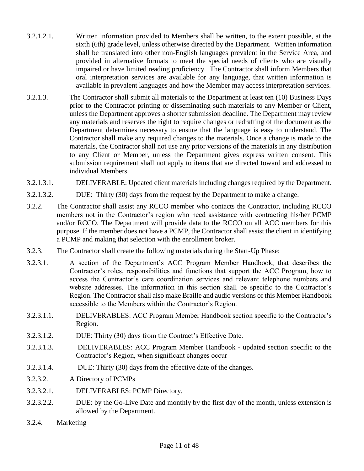- 3.2.1.2.1. Written information provided to Members shall be written, to the extent possible, at the sixth (6th) grade level, unless otherwise directed by the Department. Written information shall be translated into other non-English languages prevalent in the Service Area, and provided in alternative formats to meet the special needs of clients who are visually impaired or have limited reading proficiency. The Contractor shall inform Members that oral interpretation services are available for any language, that written information is available in prevalent languages and how the Member may access interpretation services.
- 3.2.1.3. The Contractor shall submit all materials to the Department at least ten (10) Business Days prior to the Contractor printing or disseminating such materials to any Member or Client, unless the Department approves a shorter submission deadline. The Department may review any materials and reserves the right to require changes or redrafting of the document as the Department determines necessary to ensure that the language is easy to understand. The Contractor shall make any required changes to the materials. Once a change is made to the materials, the Contractor shall not use any prior versions of the materials in any distribution to any Client or Member, unless the Department gives express written consent. This submission requirement shall not apply to items that are directed toward and addressed to individual Members.
- 3.2.1.3.1. DELIVERABLE: Updated client materials including changes required by the Department.
- 3.2.1.3.2. DUE: Thirty (30) days from the request by the Department to make a change.
- 3.2.2. The Contractor shall assist any RCCO member who contacts the Contractor, including RCCO members not in the Contractor's region who need assistance with contracting his/her PCMP and/or RCCO. The Department will provide data to the RCCO on all ACC members for this purpose. If the member does not have a PCMP, the Contractor shall assist the client in identifying a PCMP and making that selection with the enrollment broker.
- 3.2.3. The Contractor shall create the following materials during the Start-Up Phase:
- 3.2.3.1. A section of the Department's ACC Program Member Handbook, that describes the Contractor's roles, responsibilities and functions that support the ACC Program, how to access the Contractor's care coordination services and relevant telephone numbers and website addresses. The information in this section shall be specific to the Contractor's Region. The Contractor shall also make Braille and audio versions of this Member Handbook accessible to the Members within the Contractor's Region.
- 3.2.3.1.1. DELIVERABLES: ACC Program Member Handbook section specific to the Contractor's Region.
- 3.2.3.1.2. DUE: Thirty (30) days from the Contract's Effective Date.
- 3.2.3.1.3. DELIVERABLES: ACC Program Member Handbook **-** updated section specific to the Contractor's Region, when significant changes occur
- 3.2.3.1.4. DUE: Thirty (30) days from the effective date of the changes.
- 3.2.3.2. A Directory of PCMPs
- 3.2.3.2.1. DELIVERABLES: PCMP Directory.
- 3.2.3.2.2. DUE: by the Go-Live Date and monthly by the first day of the month, unless extension is allowed by the Department.
- 3.2.4. Marketing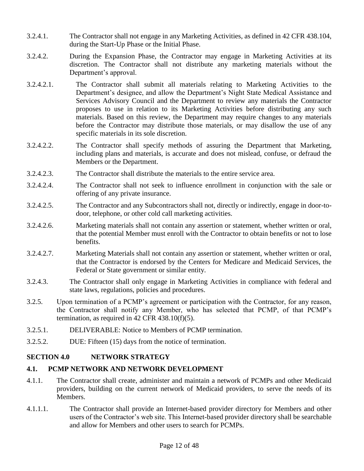- 3.2.4.1. The Contractor shall not engage in any Marketing Activities, as defined in 42 CFR 438.104, during the Start-Up Phase or the Initial Phase.
- 3.2.4.2. During the Expansion Phase, the Contractor may engage in Marketing Activities at its discretion. The Contractor shall not distribute any marketing materials without the Department's approval.
- 3.2.4.2.1. The Contractor shall submit all materials relating to Marketing Activities to the Department's designee, and allow the Department's Night State Medical Assistance and Services Advisory Council and the Department to review any materials the Contractor proposes to use in relation to its Marketing Activities before distributing any such materials. Based on this review, the Department may require changes to any materials before the Contractor may distribute those materials, or may disallow the use of any specific materials in its sole discretion.
- 3.2.4.2.2. The Contractor shall specify methods of assuring the Department that Marketing, including plans and materials, is accurate and does not mislead, confuse, or defraud the Members or the Department.
- 3.2.4.2.3. The Contractor shall distribute the materials to the entire service area.
- 3.2.4.2.4. The Contractor shall not seek to influence enrollment in conjunction with the sale or offering of any private insurance.
- 3.2.4.2.5. The Contractor and any Subcontractors shall not, directly or indirectly, engage in door-todoor, telephone, or other cold call marketing activities.
- 3.2.4.2.6. Marketing materials shall not contain any assertion or statement, whether written or oral, that the potential Member must enroll with the Contractor to obtain benefits or not to lose benefits.
- 3.2.4.2.7. Marketing Materials shall not contain any assertion or statement, whether written or oral, that the Contractor is endorsed by the Centers for Medicare and Medicaid Services, the Federal or State government or similar entity.
- 3.2.4.3. The Contractor shall only engage in Marketing Activities in compliance with federal and state laws, regulations, policies and procedures.
- 3.2.5. Upon termination of a PCMP's agreement or participation with the Contractor, for any reason, the Contractor shall notify any Member, who has selected that PCMP, of that PCMP's termination, as required in 42 CFR 438.10(f)(5).
- 3.2.5.1. DELIVERABLE: Notice to Members of PCMP termination.
- 3.2.5.2. DUE: Fifteen (15) days from the notice of termination.

#### **SECTION 4.0 NETWORK STRATEGY**

#### **4.1. PCMP NETWORK AND NETWORK DEVELOPMENT**

- 4.1.1. The Contractor shall create, administer and maintain a network of PCMPs and other Medicaid providers, building on the current network of Medicaid providers, to serve the needs of its Members.
- 4.1.1.1. The Contractor shall provide an Internet-based provider directory for Members and other users of the Contractor's web site. This Internet-based provider directory shall be searchable and allow for Members and other users to search for PCMPs.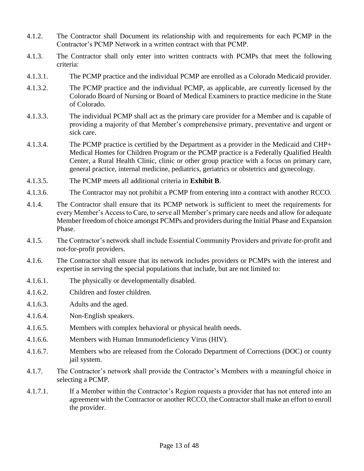- 4.1.2. The Contractor shall Document its relationship with and requirements for each PCMP in the Contractor's PCMP Network in a written contract with that PCMP.
- 4.1.3. The Contractor shall only enter into written contracts with PCMPs that meet the following criteria:
- 4.1.3.1. The PCMP practice and the individual PCMP are enrolled as a Colorado Medicaid provider.
- 4.1.3.2. The PCMP practice and the individual PCMP, as applicable, are currently licensed by the Colorado Board of Nursing or Board of Medical Examiners to practice medicine in the State of Colorado.
- 4.1.3.3. The individual PCMP shall act as the primary care provider for a Member and is capable of providing a majority of that Member's comprehensive primary, preventative and urgent or sick care.
- 4.1.3.4. The PCMP practice is certified by the Department as a provider in the Medicaid and CHP+ Medical Homes for Children Program or the PCMP practice is a Federally Qualified Health Center, a Rural Health Clinic, clinic or other group practice with a focus on primary care, general practice, internal medicine, pediatrics, geriatrics or obstetrics and gynecology.
- 4.1.3.5. The PCMP meets all additional criteria in **Exhibit B**.
- 4.1.3.6. The Contractor may not prohibit a PCMP from entering into a contract with another RCCO.
- 4.1.4. The Contractor shall ensure that its PCMP network is sufficient to meet the requirements for every Member's Access to Care, to serve all Member's primary care needs and allow for adequate Member freedom of choice amongst PCMPs and providers during the Initial Phase and Expansion Phase.
- 4.1.5. The Contractor's network shall include Essential Community Providers and private for-profit and not-for-profit providers.
- 4.1.6. The Contractor shall ensure that its network includes providers or PCMPs with the interest and expertise in serving the special populations that include, but are not limited to:
- 4.1.6.1. The physically or developmentally disabled.
- 4.1.6.2. Children and foster children.
- 4.1.6.3. Adults and the aged.
- 4.1.6.4. Non-English speakers.
- 4.1.6.5. Members with complex behavioral or physical health needs.
- 4.1.6.6. Members with Human Immunodeficiency Virus (HIV).
- 4.1.6.7. Members who are released from the Colorado Department of Corrections (DOC) or county jail system.
- 4.1.7. The Contractor's network shall provide the Contractor's Members with a meaningful choice in selecting a PCMP.
- 4.1.7.1. If a Member within the Contractor's Region requests a provider that has not entered into an agreement with the Contractor or another RCCO, the Contractor shall make an effort to enroll the provider.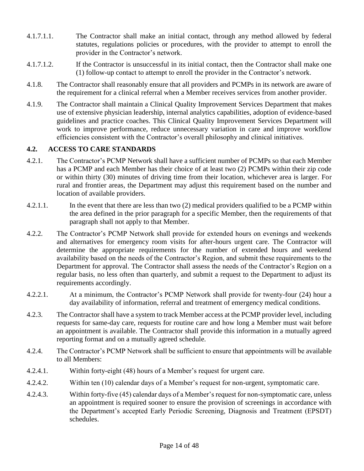- 4.1.7.1.1. The Contractor shall make an initial contact, through any method allowed by federal statutes, regulations policies or procedures, with the provider to attempt to enroll the provider in the Contractor's network.
- 4.1.7.1.2. If the Contractor is unsuccessful in its initial contact, then the Contractor shall make one (1) follow-up contact to attempt to enroll the provider in the Contractor's network.
- 4.1.8. The Contractor shall reasonably ensure that all providers and PCMPs in its network are aware of the requirement for a clinical referral when a Member receives services from another provider.
- 4.1.9. The Contractor shall maintain a Clinical Quality Improvement Services Department that makes use of extensive physician leadership, internal analytics capabilities, adoption of evidence-based guidelines and practice coaches. This Clinical Quality Improvement Services Department will work to improve performance, reduce unnecessary variation in care and improve workflow efficiencies consistent with the Contractor's overall philosophy and clinical initiatives.

#### **4.2. ACCESS TO CARE STANDARDS**

- 4.2.1. The Contractor's PCMP Network shall have a sufficient number of PCMPs so that each Member has a PCMP and each Member has their choice of at least two (2) PCMPs within their zip code or within thirty (30) minutes of driving time from their location, whichever area is larger. For rural and frontier areas, the Department may adjust this requirement based on the number and location of available providers.
- 4.2.1.1. In the event that there are less than two (2) medical providers qualified to be a PCMP within the area defined in the prior paragraph for a specific Member, then the requirements of that paragraph shall not apply to that Member.
- 4.2.2. The Contractor's PCMP Network shall provide for extended hours on evenings and weekends and alternatives for emergency room visits for after-hours urgent care. The Contractor will determine the appropriate requirements for the number of extended hours and weekend availability based on the needs of the Contractor's Region, and submit these requirements to the Department for approval. The Contractor shall assess the needs of the Contractor's Region on a regular basis, no less often than quarterly, and submit a request to the Department to adjust its requirements accordingly.
- 4.2.2.1. At a minimum, the Contractor's PCMP Network shall provide for twenty-four (24) hour a day availability of information, referral and treatment of emergency medical conditions.
- 4.2.3. The Contractor shall have a system to track Member access at the PCMP provider level, including requests for same-day care, requests for routine care and how long a Member must wait before an appointment is available. The Contractor shall provide this information in a mutually agreed reporting format and on a mutually agreed schedule.
- 4.2.4. The Contractor's PCMP Network shall be sufficient to ensure that appointments will be available to all Members:
- 4.2.4.1. Within forty-eight (48) hours of a Member's request for urgent care.
- 4.2.4.2. Within ten (10) calendar days of a Member's request for non-urgent, symptomatic care.
- 4.2.4.3. Within forty-five (45) calendar days of a Member's request for non-symptomatic care, unless an appointment is required sooner to ensure the provision of screenings in accordance with the Department's accepted Early Periodic Screening, Diagnosis and Treatment (EPSDT) schedules.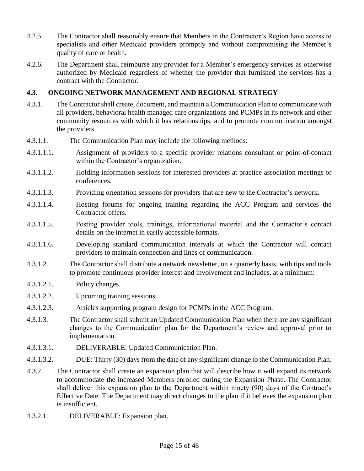- 4.2.5. The Contractor shall reasonably ensure that Members in the Contractor's Region have access to specialists and other Medicaid providers promptly and without compromising the Member's quality of care or health.
- 4.2.6. The Department shall reimburse any provider for a Member's emergency services as otherwise authorized by Medicaid regardless of whether the provider that furnished the services has a contract with the Contractor.

#### **4.3. ONGOING NETWORK MANAGEMENT AND REGIONAL STRATEGY**

- 4.3.1. The Contractor shall create, document, and maintain a Communication Plan to communicate with all providers, behavioral health managed care organizations and PCMPs in its network and other community resources with which it has relationships, and to promote communication amongst the providers.
- 4.3.1.1. The Communication Plan may include the following methods:
- 4.3.1.1.1. Assignment of providers to a specific provider relations consultant or point-of-contact within the Contractor's organization.
- 4.3.1.1.2. Holding information sessions for interested providers at practice association meetings or conferences.
- 4.3.1.1.3. Providing orientation sessions for providers that are new to the Contractor's network.
- 4.3.1.1.4. Hosting forums for ongoing training regarding the ACC Program and services the Contractor offers.
- 4.3.1.1.5. Posting provider tools, trainings, informational material and the Contractor's contact details on the internet in easily accessible formats.
- 4.3.1.1.6. Developing standard communication intervals at which the Contractor will contact providers to maintain connection and lines of communication.
- 4.3.1.2. The Contractor shall distribute a network newsletter, on a quarterly basis, with tips and tools to promote continuous provider interest and involvement and includes, at a minimum:
- 4.3.1.2.1. Policy changes.
- 4.3.1.2.2. Upcoming training sessions.
- 4.3.1.2.3. Articles supporting program design for PCMPs in the ACC Program.
- 4.3.1.3. The Contractor shall submit an Updated Communication Plan when there are any significant changes to the Communication plan for the Department's review and approval prior to implementation.
- 4.3.1.3.1. DELIVERABLE: Updated Communication Plan.
- 4.3.1.3.2. DUE: Thirty (30) days from the date of any significant change to the Communication Plan.
- 4.3.2. The Contractor shall create an expansion plan that will describe how it will expand its network to accommodate the increased Members enrolled during the Expansion Phase. The Contractor shall deliver this expansion plan to the Department within ninety (90) days of the Contract's Effective Date. The Department may direct changes to the plan if it believes the expansion plan is insufficient.
- 4.3.2.1. DELIVERABLE: Expansion plan.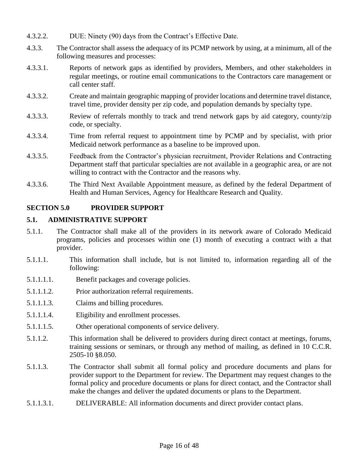- 4.3.2.2. DUE: Ninety (90) days from the Contract's Effective Date.
- 4.3.3. The Contractor shall assess the adequacy of its PCMP network by using, at a minimum, all of the following measures and processes:
- 4.3.3.1. Reports of network gaps as identified by providers, Members, and other stakeholders in regular meetings, or routine email communications to the Contractors care management or call center staff.
- 4.3.3.2. Create and maintain geographic mapping of provider locations and determine travel distance, travel time, provider density per zip code, and population demands by specialty type.
- 4.3.3.3. Review of referrals monthly to track and trend network gaps by aid category, county/zip code, or specialty.
- 4.3.3.4. Time from referral request to appointment time by PCMP and by specialist, with prior Medicaid network performance as a baseline to be improved upon.
- 4.3.3.5. Feedback from the Contractor's physician recruitment, Provider Relations and Contracting Department staff that particular specialties are not available in a geographic area, or are not willing to contract with the Contractor and the reasons why.
- 4.3.3.6. The Third Next Available Appointment measure, as defined by the federal Department of Health and Human Services, Agency for Healthcare Research and Quality.

#### **SECTION 5.0 PROVIDER SUPPORT**

#### **5.1. ADMINISTRATIVE SUPPORT**

- 5.1.1. The Contractor shall make all of the providers in its network aware of Colorado Medicaid programs, policies and processes within one (1) month of executing a contract with a that provider.
- 5.1.1.1. This information shall include, but is not limited to, information regarding all of the following:
- 5.1.1.1.1. Benefit packages and coverage policies.
- 5.1.1.1.2. Prior authorization referral requirements.
- 5.1.1.1.3. Claims and billing procedures.
- 5.1.1.1.4. Eligibility and enrollment processes.
- 5.1.1.1.5. Other operational components of service delivery.
- 5.1.1.2. This information shall be delivered to providers during direct contact at meetings, forums, training sessions or seminars, or through any method of mailing, as defined in 10 C.C.R. 2505-10 §8.050.
- 5.1.1.3. The Contractor shall submit all formal policy and procedure documents and plans for provider support to the Department for review. The Department may request changes to the formal policy and procedure documents or plans for direct contact, and the Contractor shall make the changes and deliver the updated documents or plans to the Department.
- 5.1.1.3.1. DELIVERABLE: All information documents and direct provider contact plans.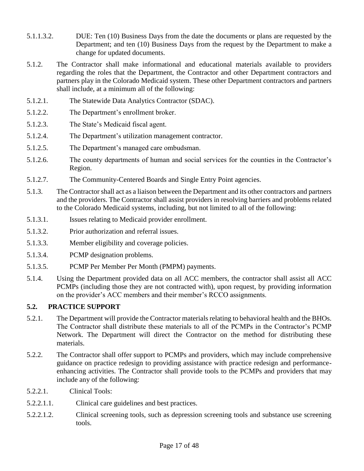- 5.1.1.3.2. DUE: Ten (10) Business Days from the date the documents or plans are requested by the Department; and ten (10) Business Days from the request by the Department to make a change for updated documents.
- 5.1.2. The Contractor shall make informational and educational materials available to providers regarding the roles that the Department, the Contractor and other Department contractors and partners play in the Colorado Medicaid system. These other Department contractors and partners shall include, at a minimum all of the following:
- 5.1.2.1. The Statewide Data Analytics Contractor (SDAC).
- 5.1.2.2. The Department's enrollment broker.
- 5.1.2.3. The State's Medicaid fiscal agent.
- 5.1.2.4. The Department's utilization management contractor.
- 5.1.2.5. The Department's managed care ombudsman.
- 5.1.2.6. The county departments of human and social services for the counties in the Contractor's Region.
- 5.1.2.7. The Community-Centered Boards and Single Entry Point agencies.
- 5.1.3. The Contractor shall act as a liaison between the Department and its other contractors and partners and the providers. The Contractor shall assist providers in resolving barriers and problems related to the Colorado Medicaid systems, including, but not limited to all of the following:
- 5.1.3.1. Issues relating to Medicaid provider enrollment.
- 5.1.3.2. Prior authorization and referral issues.
- 5.1.3.3. Member eligibility and coverage policies.
- 5.1.3.4. PCMP designation problems.
- 5.1.3.5. PCMP Per Member Per Month (PMPM) payments.
- 5.1.4. Using the Department provided data on all ACC members, the contractor shall assist all ACC PCMPs (including those they are not contracted with), upon request, by providing information on the provider's ACC members and their member's RCCO assignments.

# **5.2. PRACTICE SUPPORT**

- 5.2.1. The Department will provide the Contractor materials relating to behavioral health and the BHOs. The Contractor shall distribute these materials to all of the PCMPs in the Contractor's PCMP Network. The Department will direct the Contractor on the method for distributing these materials.
- 5.2.2. The Contractor shall offer support to PCMPs and providers, which may include comprehensive guidance on practice redesign to providing assistance with practice redesign and performanceenhancing activities. The Contractor shall provide tools to the PCMPs and providers that may include any of the following:
- 5.2.2.1. Clinical Tools:
- 5.2.2.1.1. Clinical care guidelines and best practices.
- 5.2.2.1.2. Clinical screening tools, such as depression screening tools and substance use screening tools.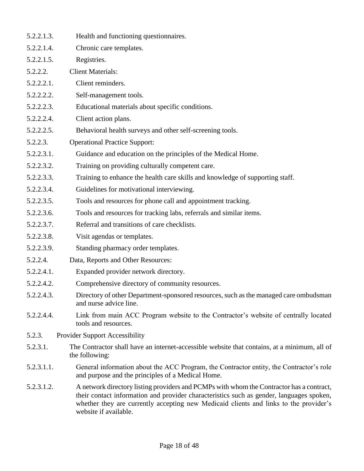| 5.2.2.1.3. | Health and functioning questionnaires.                                                                                                                                                                                                                                                                 |
|------------|--------------------------------------------------------------------------------------------------------------------------------------------------------------------------------------------------------------------------------------------------------------------------------------------------------|
| 5.2.2.1.4. | Chronic care templates.                                                                                                                                                                                                                                                                                |
| 5.2.2.1.5. | Registries.                                                                                                                                                                                                                                                                                            |
| 5.2.2.2.   | <b>Client Materials:</b>                                                                                                                                                                                                                                                                               |
| 5.2.2.2.1. | Client reminders.                                                                                                                                                                                                                                                                                      |
| 5.2.2.2.2. | Self-management tools.                                                                                                                                                                                                                                                                                 |
| 5.2.2.2.3. | Educational materials about specific conditions.                                                                                                                                                                                                                                                       |
| 5.2.2.2.4. | Client action plans.                                                                                                                                                                                                                                                                                   |
| 5.2.2.2.5. | Behavioral health surveys and other self-screening tools.                                                                                                                                                                                                                                              |
| 5.2.2.3.   | <b>Operational Practice Support:</b>                                                                                                                                                                                                                                                                   |
| 5.2.2.3.1. | Guidance and education on the principles of the Medical Home.                                                                                                                                                                                                                                          |
| 5.2.2.3.2. | Training on providing culturally competent care.                                                                                                                                                                                                                                                       |
| 5.2.2.3.3. | Training to enhance the health care skills and knowledge of supporting staff.                                                                                                                                                                                                                          |
| 5.2.2.3.4. | Guidelines for motivational interviewing.                                                                                                                                                                                                                                                              |
| 5.2.2.3.5. | Tools and resources for phone call and appointment tracking.                                                                                                                                                                                                                                           |
| 5.2.2.3.6. | Tools and resources for tracking labs, referrals and similar items.                                                                                                                                                                                                                                    |
| 5.2.2.3.7. | Referral and transitions of care checklists.                                                                                                                                                                                                                                                           |
| 5.2.2.3.8. | Visit agendas or templates.                                                                                                                                                                                                                                                                            |
| 5.2.2.3.9. | Standing pharmacy order templates.                                                                                                                                                                                                                                                                     |
| 5.2.2.4.   | Data, Reports and Other Resources:                                                                                                                                                                                                                                                                     |
| 5.2.2.4.1. | Expanded provider network directory.                                                                                                                                                                                                                                                                   |
| 5.2.2.4.2. | Comprehensive directory of community resources.                                                                                                                                                                                                                                                        |
| 5.2.2.4.3. | Directory of other Department-sponsored resources, such as the managed care ombudsman<br>and nurse advice line.                                                                                                                                                                                        |
| 5.2.2.4.4. | Link from main ACC Program website to the Contractor's website of centrally located<br>tools and resources.                                                                                                                                                                                            |
| 5.2.3.     | <b>Provider Support Accessibility</b>                                                                                                                                                                                                                                                                  |
| 5.2.3.1.   | The Contractor shall have an internet-accessible website that contains, at a minimum, all of<br>the following:                                                                                                                                                                                         |
| 5.2.3.1.1. | General information about the ACC Program, the Contractor entity, the Contractor's role<br>and purpose and the principles of a Medical Home.                                                                                                                                                           |
| 5.2.3.1.2. | A network directory listing providers and PCMPs with whom the Contractor has a contract,<br>their contact information and provider characteristics such as gender, languages spoken,<br>whether they are currently accepting new Medicaid clients and links to the provider's<br>website if available. |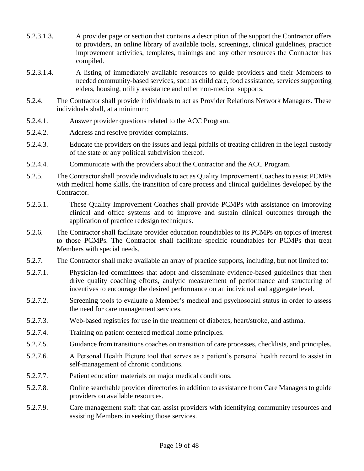- 5.2.3.1.3. A provider page or section that contains a description of the support the Contractor offers to providers, an online library of available tools, screenings, clinical guidelines, practice improvement activities, templates, trainings and any other resources the Contractor has compiled.
- 5.2.3.1.4. A listing of immediately available resources to guide providers and their Members to needed community-based services, such as child care, food assistance, services supporting elders, housing, utility assistance and other non-medical supports.
- 5.2.4. The Contractor shall provide individuals to act as Provider Relations Network Managers. These individuals shall, at a minimum:
- 5.2.4.1. Answer provider questions related to the ACC Program.
- 5.2.4.2. Address and resolve provider complaints.
- 5.2.4.3. Educate the providers on the issues and legal pitfalls of treating children in the legal custody of the state or any political subdivision thereof.
- 5.2.4.4. Communicate with the providers about the Contractor and the ACC Program.
- 5.2.5. The Contractor shall provide individuals to act as Quality Improvement Coaches to assist PCMPs with medical home skills, the transition of care process and clinical guidelines developed by the Contractor.
- 5.2.5.1. These Quality Improvement Coaches shall provide PCMPs with assistance on improving clinical and office systems and to improve and sustain clinical outcomes through the application of practice redesign techniques.
- 5.2.6. The Contractor shall facilitate provider education roundtables to its PCMPs on topics of interest to those PCMPs. The Contractor shall facilitate specific roundtables for PCMPs that treat Members with special needs.
- 5.2.7. The Contractor shall make available an array of practice supports, including, but not limited to:
- 5.2.7.1. Physician-led committees that adopt and disseminate evidence-based guidelines that then drive quality coaching efforts, analytic measurement of performance and structuring of incentives to encourage the desired performance on an individual and aggregate level.
- 5.2.7.2. Screening tools to evaluate a Member's medical and psychosocial status in order to assess the need for care management services.
- 5.2.7.3. Web-based registries for use in the treatment of diabetes, heart/stroke, and asthma.
- 5.2.7.4. Training on patient centered medical home principles.
- 5.2.7.5. Guidance from transitions coaches on transition of care processes, checklists, and principles.
- 5.2.7.6. A Personal Health Picture tool that serves as a patient's personal health record to assist in self-management of chronic conditions.
- 5.2.7.7. Patient education materials on major medical conditions.
- 5.2.7.8. Online searchable provider directories in addition to assistance from Care Managers to guide providers on available resources.
- 5.2.7.9. Care management staff that can assist providers with identifying community resources and assisting Members in seeking those services.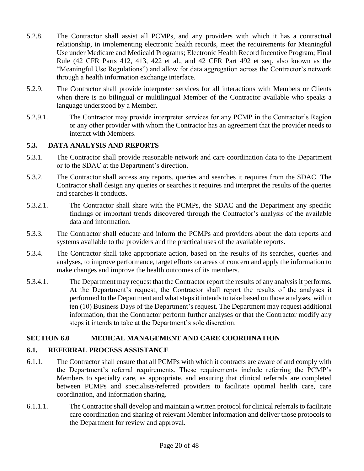- 5.2.8. The Contractor shall assist all PCMPs, and any providers with which it has a contractual relationship, in implementing electronic health records, meet the requirements for Meaningful Use under Medicare and Medicaid Programs; Electronic Health Record Incentive Program; Final Rule (42 CFR Parts 412, 413, 422 et al., and 42 CFR Part 492 et seq. also known as the "Meaningful Use Regulations") and allow for data aggregation across the Contractor's network through a health information exchange interface.
- 5.2.9. The Contractor shall provide interpreter services for all interactions with Members or Clients when there is no bilingual or multilingual Member of the Contractor available who speaks a language understood by a Member.
- 5.2.9.1. The Contractor may provide interpreter services for any PCMP in the Contractor's Region or any other provider with whom the Contractor has an agreement that the provider needs to interact with Members.

# **5.3. DATA ANALYSIS AND REPORTS**

- 5.3.1. The Contractor shall provide reasonable network and care coordination data to the Department or to the SDAC at the Department's direction.
- 5.3.2. The Contractor shall access any reports, queries and searches it requires from the SDAC. The Contractor shall design any queries or searches it requires and interpret the results of the queries and searches it conducts.
- 5.3.2.1. The Contractor shall share with the PCMPs, the SDAC and the Department any specific findings or important trends discovered through the Contractor's analysis of the available data and information.
- 5.3.3. The Contractor shall educate and inform the PCMPs and providers about the data reports and systems available to the providers and the practical uses of the available reports.
- 5.3.4. The Contractor shall take appropriate action, based on the results of its searches, queries and analyses, to improve performance, target efforts on areas of concern and apply the information to make changes and improve the health outcomes of its members.
- 5.3.4.1. The Department may request that the Contractor report the results of any analysis it performs. At the Department's request, the Contractor shall report the results of the analyses it performed to the Department and what steps it intends to take based on those analyses, within ten (10) Business Days of the Department's request. The Department may request additional information, that the Contractor perform further analyses or that the Contractor modify any steps it intends to take at the Department's sole discretion.

# **SECTION 6.0 MEDICAL MANAGEMENT AND CARE COORDINATION**

# **6.1. REFERRAL PROCESS ASSISTANCE**

- 6.1.1. The Contractor shall ensure that all PCMPs with which it contracts are aware of and comply with the Department's referral requirements. These requirements include referring the PCMP's Members to specialty care, as appropriate, and ensuring that clinical referrals are completed between PCMPs and specialists/referred providers to facilitate optimal health care, care coordination, and information sharing.
- 6.1.1.1. The Contractor shall develop and maintain a written protocol for clinical referrals to facilitate care coordination and sharing of relevant Member information and deliver those protocols to the Department for review and approval.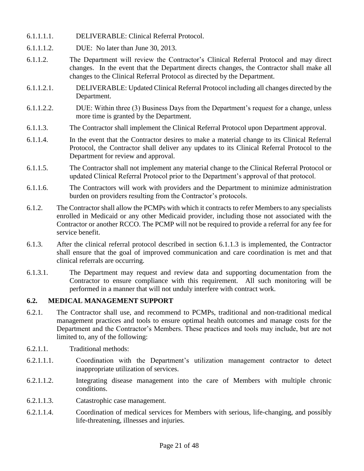- 6.1.1.1.1. DELIVERABLE: Clinical Referral Protocol.
- 6.1.1.1.2. DUE: No later than June 30, 2013.
- 6.1.1.2. The Department will review the Contractor's Clinical Referral Protocol and may direct changes. In the event that the Department directs changes, the Contractor shall make all changes to the Clinical Referral Protocol as directed by the Department.
- 6.1.1.2.1. DELIVERABLE: Updated Clinical Referral Protocol including all changes directed by the Department.
- 6.1.1.2.2. DUE: Within three (3) Business Days from the Department's request for a change, unless more time is granted by the Department.
- 6.1.1.3. The Contractor shall implement the Clinical Referral Protocol upon Department approval.
- 6.1.1.4. In the event that the Contractor desires to make a material change to its Clinical Referral Protocol, the Contractor shall deliver any updates to its Clinical Referral Protocol to the Department for review and approval.
- 6.1.1.5. The Contractor shall not implement any material change to the Clinical Referral Protocol or updated Clinical Referral Protocol prior to the Department's approval of that protocol.
- 6.1.1.6. The Contractors will work with providers and the Department to minimize administration burden on providers resulting from the Contractor's protocols.
- 6.1.2. The Contractor shall allow the PCMPs with which it contracts to refer Members to any specialists enrolled in Medicaid or any other Medicaid provider, including those not associated with the Contractor or another RCCO. The PCMP will not be required to provide a referral for any fee for service benefit.
- 6.1.3. After the clinical referral protocol described in section 6.1.1.3 is implemented, the Contractor shall ensure that the goal of improved communication and care coordination is met and that clinical referrals are occurring.
- 6.1.3.1. The Department may request and review data and supporting documentation from the Contractor to ensure compliance with this requirement. All such monitoring will be performed in a manner that will not unduly interfere with contract work.

#### **6.2. MEDICAL MANAGEMENT SUPPORT**

- 6.2.1. The Contractor shall use, and recommend to PCMPs, traditional and non-traditional medical management practices and tools to ensure optimal health outcomes and manage costs for the Department and the Contractor's Members. These practices and tools may include, but are not limited to, any of the following:
- 6.2.1.1. Traditional methods:
- 6.2.1.1.1. Coordination with the Department's utilization management contractor to detect inappropriate utilization of services.
- 6.2.1.1.2. Integrating disease management into the care of Members with multiple chronic conditions.
- 6.2.1.1.3. Catastrophic case management.
- 6.2.1.1.4. Coordination of medical services for Members with serious, life-changing, and possibly life-threatening, illnesses and injuries.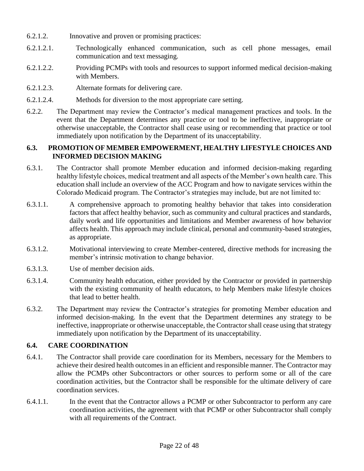- 6.2.1.2. Innovative and proven or promising practices:
- 6.2.1.2.1. Technologically enhanced communication, such as cell phone messages, email communication and text messaging.
- 6.2.1.2.2. Providing PCMPs with tools and resources to support informed medical decision-making with Members.
- 6.2.1.2.3. Alternate formats for delivering care.
- 6.2.1.2.4. Methods for diversion to the most appropriate care setting.
- 6.2.2. The Department may review the Contractor's medical management practices and tools. In the event that the Department determines any practice or tool to be ineffective, inappropriate or otherwise unacceptable, the Contractor shall cease using or recommending that practice or tool immediately upon notification by the Department of its unacceptability.

#### **6.3. PROMOTION OF MEMBER EMPOWERMENT, HEALTHY LIFESTYLE CHOICES AND INFORMED DECISION MAKING**

- 6.3.1. The Contractor shall promote Member education and informed decision-making regarding healthy lifestyle choices, medical treatment and all aspects of the Member's own health care. This education shall include an overview of the ACC Program and how to navigate services within the Colorado Medicaid program. The Contractor's strategies may include, but are not limited to:
- 6.3.1.1. A comprehensive approach to promoting healthy behavior that takes into consideration factors that affect healthy behavior, such as community and cultural practices and standards, daily work and life opportunities and limitations and Member awareness of how behavior affects health. This approach may include clinical, personal and community-based strategies, as appropriate.
- 6.3.1.2. Motivational interviewing to create Member-centered, directive methods for increasing the member's intrinsic motivation to change behavior.
- 6.3.1.3. Use of member decision aids.
- 6.3.1.4. Community health education, either provided by the Contractor or provided in partnership with the existing community of health educators, to help Members make lifestyle choices that lead to better health.
- 6.3.2. The Department may review the Contractor's strategies for promoting Member education and informed decision-making. In the event that the Department determines any strategy to be ineffective, inappropriate or otherwise unacceptable, the Contractor shall cease using that strategy immediately upon notification by the Department of its unacceptability.

#### **6.4. CARE COORDINATION**

- 6.4.1. The Contractor shall provide care coordination for its Members, necessary for the Members to achieve their desired health outcomes in an efficient and responsible manner. The Contractor may allow the PCMPs other Subcontractors or other sources to perform some or all of the care coordination activities, but the Contractor shall be responsible for the ultimate delivery of care coordination services.
- 6.4.1.1. In the event that the Contractor allows a PCMP or other Subcontractor to perform any care coordination activities, the agreement with that PCMP or other Subcontractor shall comply with all requirements of the Contract.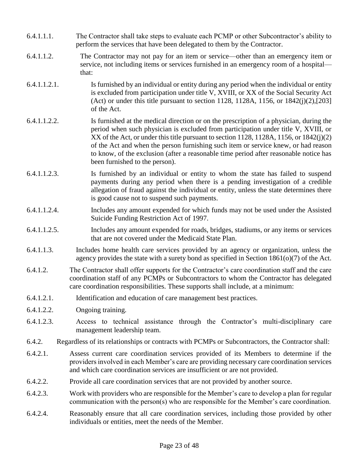- 6.4.1.1.1. The Contractor shall take steps to evaluate each PCMP or other Subcontractor's ability to perform the services that have been delegated to them by the Contractor.
- 6.4.1.1.2. The Contractor may not pay for an item or service—other than an emergency item or service, not including items or services furnished in an emergency room of a hospital that:
- 6.4.1.1.2.1. Is furnished by an individual or entity during any period when the individual or entity is excluded from participation under title V, XVIII, or XX of the Social Security Act (Act) or under this title pursuant to section 1128, 1128A, 1156, or 1842(j)(2),[203] of the Act.
- 6.4.1.1.2.2. Is furnished at the medical direction or on the prescription of a physician, during the period when such physician is excluded from participation under title V, XVIII, or XX of the Act, or under this title pursuant to section 1128, 1128A, 1156, or 1842(j)(2) of the Act and when the person furnishing such item or service knew, or had reason to know, of the exclusion (after a reasonable time period after reasonable notice has been furnished to the person).
- 6.4.1.1.2.3. Is furnished by an individual or entity to whom the state has failed to suspend payments during any period when there is a pending investigation of a credible allegation of fraud against the individual or entity, unless the state determines there is good cause not to suspend such payments.
- 6.4.1.1.2.4. Includes any amount expended for which funds may not be used under the Assisted Suicide Funding Restriction Act of 1997.
- 6.4.1.1.2.5. Includes any amount expended for roads, bridges, stadiums, or any items or services that are not covered under the Medicaid State Plan.
- 6.4.1.1.3. Includes home health care services provided by an agency or organization, unless the agency provides the state with a surety bond as specified in Section  $1861(o)(7)$  of the Act.
- 6.4.1.2. The Contractor shall offer supports for the Contractor's care coordination staff and the care coordination staff of any PCMPs or Subcontractors to whom the Contractor has delegated care coordination responsibilities. These supports shall include, at a minimum:
- 6.4.1.2.1. Identification and education of care management best practices.
- 6.4.1.2.2. Ongoing training.
- 6.4.1.2.3. Access to technical assistance through the Contractor's multi-disciplinary care management leadership team.
- 6.4.2. Regardless of its relationships or contracts with PCMPs or Subcontractors, the Contractor shall:
- 6.4.2.1. Assess current care coordination services provided of its Members to determine if the providers involved in each Member's care are providing necessary care coordination services and which care coordination services are insufficient or are not provided.
- 6.4.2.2. Provide all care coordination services that are not provided by another source.
- 6.4.2.3. Work with providers who are responsible for the Member's care to develop a plan for regular communication with the person(s) who are responsible for the Member's care coordination.
- 6.4.2.4. Reasonably ensure that all care coordination services, including those provided by other individuals or entities, meet the needs of the Member.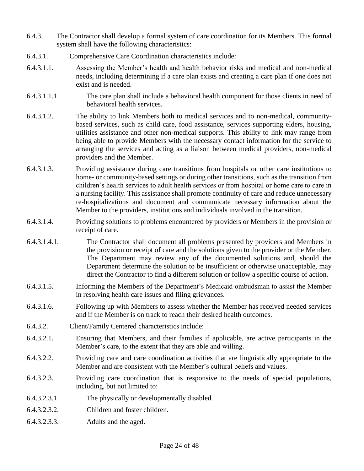- 6.4.3. The Contractor shall develop a formal system of care coordination for its Members. This formal system shall have the following characteristics:
- 6.4.3.1. Comprehensive Care Coordination characteristics include:
- 6.4.3.1.1. Assessing the Member's health and health behavior risks and medical and non-medical needs, including determining if a care plan exists and creating a care plan if one does not exist and is needed.
- 6.4.3.1.1.1. The care plan shall include a behavioral health component for those clients in need of behavioral health services.
- 6.4.3.1.2. The ability to link Members both to medical services and to non-medical, communitybased services, such as child care, food assistance, services supporting elders, housing, utilities assistance and other non-medical supports. This ability to link may range from being able to provide Members with the necessary contact information for the service to arranging the services and acting as a liaison between medical providers, non-medical providers and the Member.
- 6.4.3.1.3. Providing assistance during care transitions from hospitals or other care institutions to home- or community-based settings or during other transitions, such as the transition from children's health services to adult health services or from hospital or home care to care in a nursing facility. This assistance shall promote continuity of care and reduce unnecessary re-hospitalizations and document and communicate necessary information about the Member to the providers, institutions and individuals involved in the transition.
- 6.4.3.1.4. Providing solutions to problems encountered by providers or Members in the provision or receipt of care.
- 6.4.3.1.4.1. The Contractor shall document all problems presented by providers and Members in the provision or receipt of care and the solutions given to the provider or the Member. The Department may review any of the documented solutions and, should the Department determine the solution to be insufficient or otherwise unacceptable, may direct the Contractor to find a different solution or follow a specific course of action.
- 6.4.3.1.5. Informing the Members of the Department's Medicaid ombudsman to assist the Member in resolving health care issues and filing grievances.
- 6.4.3.1.6. Following up with Members to assess whether the Member has received needed services and if the Member is on track to reach their desired health outcomes.
- 6.4.3.2. Client/Family Centered characteristics include:
- 6.4.3.2.1. Ensuring that Members, and their families if applicable, are active participants in the Member's care, to the extent that they are able and willing.
- 6.4.3.2.2. Providing care and care coordination activities that are linguistically appropriate to the Member and are consistent with the Member's cultural beliefs and values.
- 6.4.3.2.3. Providing care coordination that is responsive to the needs of special populations, including, but not limited to:
- 6.4.3.2.3.1. The physically or developmentally disabled.
- 6.4.3.2.3.2. Children and foster children.
- 6.4.3.2.3.3. Adults and the aged.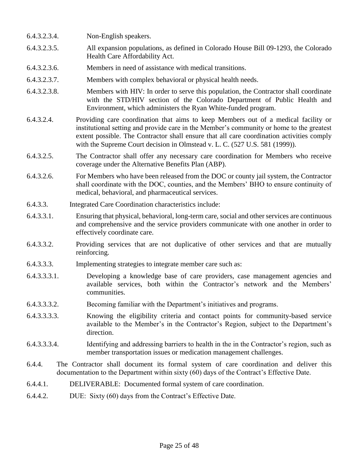- 6.4.3.2.3.4. Non-English speakers.
- 6.4.3.2.3.5. All expansion populations, as defined in Colorado House Bill 09-1293, the Colorado Health Care Affordability Act.
- 6.4.3.2.3.6. Members in need of assistance with medical transitions.
- 6.4.3.2.3.7. Members with complex behavioral or physical health needs.
- 6.4.3.2.3.8. Members with HIV: In order to serve this population, the Contractor shall coordinate with the STD/HIV section of the Colorado Department of Public Health and Environment, which administers the Ryan White-funded program.
- 6.4.3.2.4. Providing care coordination that aims to keep Members out of a medical facility or institutional setting and provide care in the Member's community or home to the greatest extent possible. The Contractor shall ensure that all care coordination activities comply with the Supreme Court decision in Olmstead v. L. C. (527 U.S. 581 (1999)).
- 6.4.3.2.5. The Contractor shall offer any necessary care coordination for Members who receive coverage under the Alternative Benefits Plan (ABP).
- 6.4.3.2.6. For Members who have been released from the DOC or county jail system, the Contractor shall coordinate with the DOC, counties, and the Members' BHO to ensure continuity of medical, behavioral, and pharmaceutical services.
- 6.4.3.3. Integrated Care Coordination characteristics include:
- 6.4.3.3.1. Ensuring that physical, behavioral, long-term care, social and other services are continuous and comprehensive and the service providers communicate with one another in order to effectively coordinate care.
- 6.4.3.3.2. Providing services that are not duplicative of other services and that are mutually reinforcing.
- 6.4.3.3.3. Implementing strategies to integrate member care such as:
- 6.4.3.3.3.1. Developing a knowledge base of care providers, case management agencies and available services, both within the Contractor's network and the Members' communities.
- 6.4.3.3.3.2. Becoming familiar with the Department's initiatives and programs.
- 6.4.3.3.3.3. Knowing the eligibility criteria and contact points for community-based service available to the Member's in the Contractor's Region, subject to the Department's direction.
- 6.4.3.3.3.4. Identifying and addressing barriers to health in the in the Contractor's region, such as member transportation issues or medication management challenges.
- 6.4.4. The Contractor shall document its formal system of care coordination and deliver this documentation to the Department within sixty (60) days of the Contract's Effective Date.
- 6.4.4.1. DELIVERABLE: Documented formal system of care coordination.
- 6.4.4.2. DUE: Sixty (60) days from the Contract's Effective Date.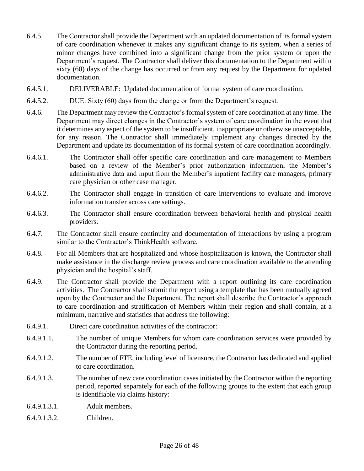- 6.4.5. The Contractor shall provide the Department with an updated documentation of its formal system of care coordination whenever it makes any significant change to its system, when a series of minor changes have combined into a significant change from the prior system or upon the Department's request. The Contractor shall deliver this documentation to the Department within sixty (60) days of the change has occurred or from any request by the Department for updated documentation.
- 6.4.5.1. DELIVERABLE: Updated documentation of formal system of care coordination.
- 6.4.5.2. DUE: Sixty (60) days from the change or from the Department's request.
- 6.4.6. The Department may review the Contractor's formal system of care coordination at any time. The Department may direct changes in the Contractor's system of care coordination in the event that it determines any aspect of the system to be insufficient, inappropriate or otherwise unacceptable, for any reason. The Contractor shall immediately implement any changes directed by the Department and update its documentation of its formal system of care coordination accordingly.
- 6.4.6.1. The Contractor shall offer specific care coordination and care management to Members based on a review of the Member's prior authorization information, the Member's administrative data and input from the Member's inpatient facility care managers, primary care physician or other case manager.
- 6.4.6.2. The Contractor shall engage in transition of care interventions to evaluate and improve information transfer across care settings.
- 6.4.6.3. The Contractor shall ensure coordination between behavioral health and physical health providers.
- 6.4.7. The Contractor shall ensure continuity and documentation of interactions by using a program similar to the Contractor's ThinkHealth software.
- 6.4.8. For all Members that are hospitalized and whose hospitalization is known, the Contractor shall make assistance in the discharge review process and care coordination available to the attending physician and the hospital's staff.
- 6.4.9. The Contractor shall provide the Department with a report outlining its care coordination activities. The Contractor shall submit the report using a template that has been mutually agreed upon by the Contractor and the Department. The report shall describe the Contractor's approach to care coordination and stratification of Members within their region and shall contain, at a minimum, narrative and statistics that address the following:
- 6.4.9.1. Direct care coordination activities of the contractor:
- 6.4.9.1.1. The number of unique Members for whom care coordination services were provided by the Contractor during the reporting period.
- 6.4.9.1.2. The number of FTE, including level of licensure, the Contractor has dedicated and applied to care coordination.
- 6.4.9.1.3. The number of new care coordination cases initiated by the Contractor within the reporting period, reported separately for each of the following groups to the extent that each group is identifiable via claims history:
- 6.4.9.1.3.1. Adult members.
- 6.4.9.1.3.2. Children.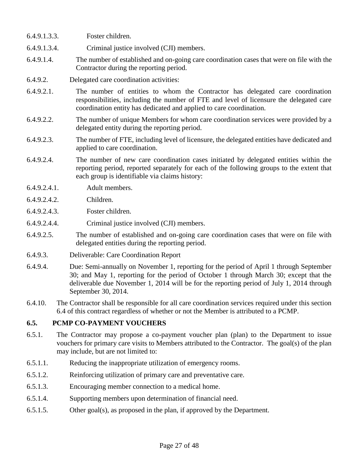- 6.4.9.1.3.3. Foster children.
- 6.4.9.1.3.4. Criminal justice involved (CJI) members.
- 6.4.9.1.4. The number of established and on-going care coordination cases that were on file with the Contractor during the reporting period.
- 6.4.9.2. Delegated care coordination activities:
- 6.4.9.2.1. The number of entities to whom the Contractor has delegated care coordination responsibilities, including the number of FTE and level of licensure the delegated care coordination entity has dedicated and applied to care coordination.
- 6.4.9.2.2. The number of unique Members for whom care coordination services were provided by a delegated entity during the reporting period.
- 6.4.9.2.3. The number of FTE, including level of licensure, the delegated entities have dedicated and applied to care coordination.
- 6.4.9.2.4. The number of new care coordination cases initiated by delegated entities within the reporting period, reported separately for each of the following groups to the extent that each group is identifiable via claims history:
- 6.4.9.2.4.1. Adult members.
- 6.4.9.2.4.2. Children.
- 6.4.9.2.4.3. Foster children.
- 6.4.9.2.4.4. Criminal justice involved (CJI) members.
- 6.4.9.2.5. The number of established and on-going care coordination cases that were on file with delegated entities during the reporting period.
- 6.4.9.3. Deliverable: Care Coordination Report
- 6.4.9.4. Due: Semi-annually on November 1, reporting for the period of April 1 through September 30; and May 1, reporting for the period of October 1 through March 30; except that the deliverable due November 1, 2014 will be for the reporting period of July 1, 2014 through September 30, 2014.
- 6.4.10. The Contractor shall be responsible for all care coordination services required under this section 6.4 of this contract regardless of whether or not the Member is attributed to a PCMP.

#### **6.5. PCMP CO-PAYMENT VOUCHERS**

- 6.5.1. The Contractor may propose a co-payment voucher plan (plan) to the Department to issue vouchers for primary care visits to Members attributed to the Contractor. The goal(s) of the plan may include, but are not limited to:
- 6.5.1.1. Reducing the inappropriate utilization of emergency rooms.
- 6.5.1.2. Reinforcing utilization of primary care and preventative care.
- 6.5.1.3. Encouraging member connection to a medical home.
- 6.5.1.4. Supporting members upon determination of financial need.
- 6.5.1.5. Other goal(s), as proposed in the plan, if approved by the Department.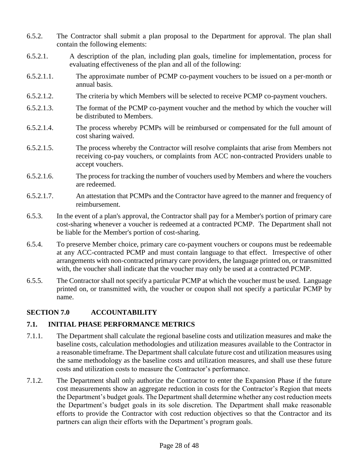- 6.5.2. The Contractor shall submit a plan proposal to the Department for approval. The plan shall contain the following elements:
- 6.5.2.1. A description of the plan, including plan goals, timeline for implementation, process for evaluating effectiveness of the plan and all of the following:
- 6.5.2.1.1. The approximate number of PCMP co-payment vouchers to be issued on a per-month or annual basis.
- 6.5.2.1.2. The criteria by which Members will be selected to receive PCMP co-payment vouchers.
- 6.5.2.1.3. The format of the PCMP co-payment voucher and the method by which the voucher will be distributed to Members.
- 6.5.2.1.4. The process whereby PCMPs will be reimbursed or compensated for the full amount of cost sharing waived.
- 6.5.2.1.5. The process whereby the Contractor will resolve complaints that arise from Members not receiving co-pay vouchers, or complaints from ACC non-contracted Providers unable to accept vouchers.
- 6.5.2.1.6. The process for tracking the number of vouchers used by Members and where the vouchers are redeemed.
- 6.5.2.1.7. An attestation that PCMPs and the Contractor have agreed to the manner and frequency of reimbursement.
- 6.5.3. In the event of a plan's approval, the Contractor shall pay for a Member's portion of primary care cost-sharing whenever a voucher is redeemed at a contracted PCMP. The Department shall not be liable for the Member's portion of cost-sharing.
- 6.5.4. To preserve Member choice, primary care co-payment vouchers or coupons must be redeemable at any ACC-contracted PCMP and must contain language to that effect. Irrespective of other arrangements with non-contracted primary care providers, the language printed on, or transmitted with, the voucher shall indicate that the voucher may only be used at a contracted PCMP.
- 6.5.5. The Contractor shall not specify a particular PCMP at which the voucher must be used. Language printed on, or transmitted with, the voucher or coupon shall not specify a particular PCMP by name.

#### **SECTION 7.0 ACCOUNTABILITY**

#### **7.1. INITIAL PHASE PERFORMANCE METRICS**

- 7.1.1. The Department shall calculate the regional baseline costs and utilization measures and make the baseline costs, calculation methodologies and utilization measures available to the Contractor in a reasonable timeframe. The Department shall calculate future cost and utilization measures using the same methodology as the baseline costs and utilization measures, and shall use these future costs and utilization costs to measure the Contractor's performance.
- 7.1.2. The Department shall only authorize the Contractor to enter the Expansion Phase if the future cost measurements show an aggregate reduction in costs for the Contractor's Region that meets the Department's budget goals. The Department shall determine whether any cost reduction meets the Department's budget goals in its sole discretion. The Department shall make reasonable efforts to provide the Contractor with cost reduction objectives so that the Contractor and its partners can align their efforts with the Department's program goals.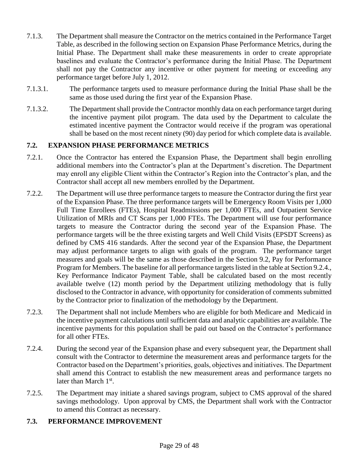- 7.1.3. The Department shall measure the Contractor on the metrics contained in the Performance Target Table, as described in the following section on Expansion Phase Performance Metrics, during the Initial Phase. The Department shall make these measurements in order to create appropriate baselines and evaluate the Contractor's performance during the Initial Phase. The Department shall not pay the Contractor any incentive or other payment for meeting or exceeding any performance target before July 1, 2012.
- 7.1.3.1. The performance targets used to measure performance during the Initial Phase shall be the same as those used during the first year of the Expansion Phase.
- 7.1.3.2. The Department shall provide the Contractor monthly data on each performance target during the incentive payment pilot program. The data used by the Department to calculate the estimated incentive payment the Contractor would receive if the program was operational shall be based on the most recent ninety (90) day period for which complete data is available.

# **7.2. EXPANSION PHASE PERFORMANCE METRICS**

- 7.2.1. Once the Contractor has entered the Expansion Phase, the Department shall begin enrolling additional members into the Contractor's plan at the Department's discretion. The Department may enroll any eligible Client within the Contractor's Region into the Contractor's plan, and the Contractor shall accept all new members enrolled by the Department.
- 7.2.2. The Department will use three performance targets to measure the Contractor during the first year of the Expansion Phase. The three performance targets will be Emergency Room Visits per 1,000 Full Time Enrollees (FTEs), Hospital Readmissions per 1,000 FTEs, and Outpatient Service Utilization of MRIs and CT Scans per 1,000 FTEs. The Department will use four performance targets to measure the Contractor during the second year of the Expansion Phase. The performance targets will be the three existing targets and Well Child Visits (EPSDT Screens) as defined by CMS 416 standards. After the second year of the Expansion Phase, the Department may adjust performance targets to align with goals of the program. The performance target measures and goals will be the same as those described in the Section 9.2, Pay for Performance Program for Members. The baseline for all performance targets listed in the table at Section 9.2.4., Key Performance Indicator Payment Table, shall be calculated based on the most recently available twelve (12) month period by the Department utilizing methodology that is fully disclosed to the Contractor in advance, with opportunity for consideration of comments submitted by the Contractor prior to finalization of the methodology by the Department.
- 7.2.3. The Department shall not include Members who are eligible for both Medicare and Medicaid in the incentive payment calculations until sufficient data and analytic capabilities are available. The incentive payments for this population shall be paid out based on the Contractor's performance for all other FTEs.
- 7.2.4. During the second year of the Expansion phase and every subsequent year, the Department shall consult with the Contractor to determine the measurement areas and performance targets for the Contractor based on the Department's priorities, goals, objectives and initiatives. The Department shall amend this Contract to establish the new measurement areas and performance targets no later than March 1<sup>st</sup>.
- 7.2.5. The Department may initiate a shared savings program, subject to CMS approval of the shared savings methodology. Upon approval by CMS, the Department shall work with the Contractor to amend this Contract as necessary.

#### **7.3. PERFORMANCE IMPROVEMENT**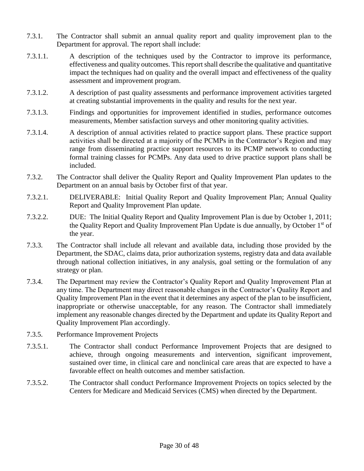- 7.3.1. The Contractor shall submit an annual quality report and quality improvement plan to the Department for approval. The report shall include:
- 7.3.1.1. A description of the techniques used by the Contractor to improve its performance, effectiveness and quality outcomes. This report shall describe the qualitative and quantitative impact the techniques had on quality and the overall impact and effectiveness of the quality assessment and improvement program.
- 7.3.1.2. A description of past quality assessments and performance improvement activities targeted at creating substantial improvements in the quality and results for the next year.
- 7.3.1.3. Findings and opportunities for improvement identified in studies, performance outcomes measurements, Member satisfaction surveys and other monitoring quality activities.
- 7.3.1.4. A description of annual activities related to practice support plans. These practice support activities shall be directed at a majority of the PCMPs in the Contractor's Region and may range from disseminating practice support resources to its PCMP network to conducting formal training classes for PCMPs. Any data used to drive practice support plans shall be included.
- 7.3.2. The Contractor shall deliver the Quality Report and Quality Improvement Plan updates to the Department on an annual basis by October first of that year.
- 7.3.2.1. DELIVERABLE: Initial Quality Report and Quality Improvement Plan; Annual Quality Report and Quality Improvement Plan update.
- 7.3.2.2. DUE: The Initial Quality Report and Quality Improvement Plan is due by October 1, 2011; the Quality Report and Quality Improvement Plan Update is due annually, by October 1<sup>st</sup> of the year.
- 7.3.3. The Contractor shall include all relevant and available data, including those provided by the Department, the SDAC, claims data, prior authorization systems, registry data and data available through national collection initiatives, in any analysis, goal setting or the formulation of any strategy or plan.
- 7.3.4. The Department may review the Contractor's Quality Report and Quality Improvement Plan at any time. The Department may direct reasonable changes in the Contractor's Quality Report and Quality Improvement Plan in the event that it determines any aspect of the plan to be insufficient, inappropriate or otherwise unacceptable, for any reason. The Contractor shall immediately implement any reasonable changes directed by the Department and update its Quality Report and Quality Improvement Plan accordingly.
- 7.3.5. Performance Improvement Projects
- 7.3.5.1. The Contractor shall conduct Performance Improvement Projects that are designed to achieve, through ongoing measurements and intervention, significant improvement, sustained over time, in clinical care and nonclinical care areas that are expected to have a favorable effect on health outcomes and member satisfaction.
- 7.3.5.2. The Contractor shall conduct Performance Improvement Projects on topics selected by the Centers for Medicare and Medicaid Services (CMS) when directed by the Department.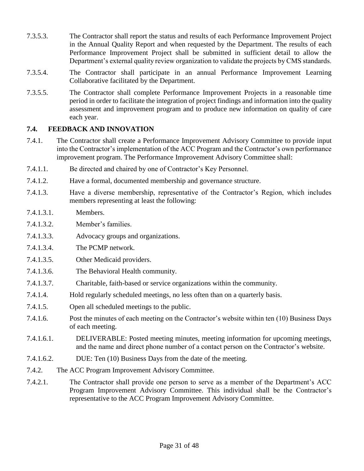- 7.3.5.3. The Contractor shall report the status and results of each Performance Improvement Project in the Annual Quality Report and when requested by the Department. The results of each Performance Improvement Project shall be submitted in sufficient detail to allow the Department's external quality review organization to validate the projects by CMS standards.
- 7.3.5.4. The Contractor shall participate in an annual Performance Improvement Learning Collaborative facilitated by the Department.
- 7.3.5.5. The Contractor shall complete Performance Improvement Projects in a reasonable time period in order to facilitate the integration of project findings and information into the quality assessment and improvement program and to produce new information on quality of care each year.

# **7.4. FEEDBACK AND INNOVATION**

- 7.4.1. The Contractor shall create a Performance Improvement Advisory Committee to provide input into the Contractor's implementation of the ACC Program and the Contractor's own performance improvement program. The Performance Improvement Advisory Committee shall:
- 7.4.1.1. Be directed and chaired by one of Contractor's Key Personnel.
- 7.4.1.2. Have a formal, documented membership and governance structure.
- 7.4.1.3. Have a diverse membership, representative of the Contractor's Region, which includes members representing at least the following:
- 7.4.1.3.1. Members.
- 7.4.1.3.2. Member's families.
- 7.4.1.3.3. Advocacy groups and organizations.
- 7.4.1.3.4. The PCMP network.
- 7.4.1.3.5. Other Medicaid providers.
- 7.4.1.3.6. The Behavioral Health community.
- 7.4.1.3.7. Charitable, faith-based or service organizations within the community.
- 7.4.1.4. Hold regularly scheduled meetings, no less often than on a quarterly basis.
- 7.4.1.5. Open all scheduled meetings to the public.
- 7.4.1.6. Post the minutes of each meeting on the Contractor's website within ten (10) Business Days of each meeting.
- 7.4.1.6.1. DELIVERABLE: Posted meeting minutes, meeting information for upcoming meetings, and the name and direct phone number of a contact person on the Contractor's website.
- 7.4.1.6.2. DUE: Ten (10) Business Days from the date of the meeting.
- 7.4.2. The ACC Program Improvement Advisory Committee.
- 7.4.2.1. The Contractor shall provide one person to serve as a member of the Department's ACC Program Improvement Advisory Committee. This individual shall be the Contractor's representative to the ACC Program Improvement Advisory Committee.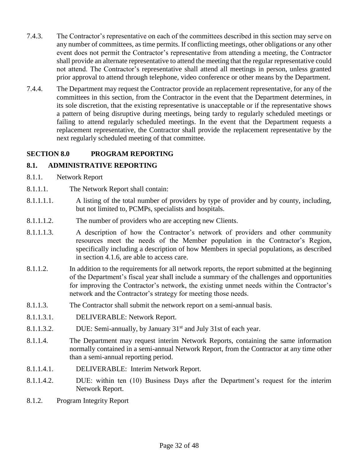- 7.4.3. The Contractor's representative on each of the committees described in this section may serve on any number of committees, as time permits. If conflicting meetings, other obligations or any other event does not permit the Contractor's representative from attending a meeting, the Contractor shall provide an alternate representative to attend the meeting that the regular representative could not attend. The Contractor's representative shall attend all meetings in person, unless granted prior approval to attend through telephone, video conference or other means by the Department.
- 7.4.4. The Department may request the Contractor provide an replacement representative, for any of the committees in this section, from the Contractor in the event that the Department determines, in its sole discretion, that the existing representative is unacceptable or if the representative shows a pattern of being disruptive during meetings, being tardy to regularly scheduled meetings or failing to attend regularly scheduled meetings. In the event that the Department requests a replacement representative, the Contractor shall provide the replacement representative by the next regularly scheduled meeting of that committee.

# **SECTION 8.0 PROGRAM REPORTING**

#### **8.1. ADMINISTRATIVE REPORTING**

- 8.1.1. Network Report
- 8.1.1.1. The Network Report shall contain:
- 8.1.1.1.1. A listing of the total number of providers by type of provider and by county, including, but not limited to, PCMPs, specialists and hospitals.
- 8.1.1.1.2. The number of providers who are accepting new Clients.
- 8.1.1.1.3. A description of how the Contractor's network of providers and other community resources meet the needs of the Member population in the Contractor's Region, specifically including a description of how Members in special populations, as described in section 4.1.6, are able to access care.
- 8.1.1.2. In addition to the requirements for all network reports, the report submitted at the beginning of the Department's fiscal year shall include a summary of the challenges and opportunities for improving the Contractor's network, the existing unmet needs within the Contractor's network and the Contractor's strategy for meeting those needs.
- 8.1.1.3. The Contractor shall submit the network report on a semi-annual basis.
- 8.1.1.3.1. DELIVERABLE: Network Report.
- 8.1.1.3.2. DUE: Semi-annually, by January 31<sup>st</sup> and July 31st of each year.
- 8.1.1.4. The Department may request interim Network Reports, containing the same information normally contained in a semi-annual Network Report, from the Contractor at any time other than a semi-annual reporting period.
- 8.1.1.4.1. DELIVERABLE: Interim Network Report.
- 8.1.1.4.2. DUE: within ten (10) Business Days after the Department's request for the interim Network Report.
- 8.1.2. Program Integrity Report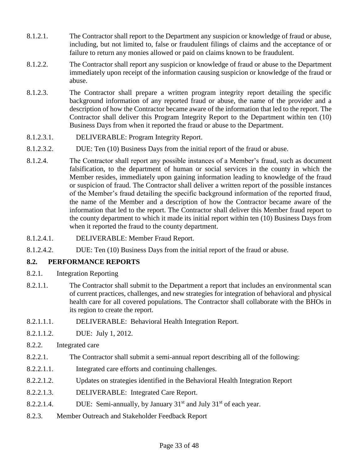- 8.1.2.1. The Contractor shall report to the Department any suspicion or knowledge of fraud or abuse, including, but not limited to, false or fraudulent filings of claims and the acceptance of or failure to return any monies allowed or paid on claims known to be fraudulent.
- 8.1.2.2. The Contractor shall report any suspicion or knowledge of fraud or abuse to the Department immediately upon receipt of the information causing suspicion or knowledge of the fraud or abuse.
- 8.1.2.3. The Contractor shall prepare a written program integrity report detailing the specific background information of any reported fraud or abuse, the name of the provider and a description of how the Contractor became aware of the information that led to the report. The Contractor shall deliver this Program Integrity Report to the Department within ten (10) Business Days from when it reported the fraud or abuse to the Department.
- 8.1.2.3.1. DELIVERABLE: Program Integrity Report.
- 8.1.2.3.2. DUE: Ten (10) Business Days from the initial report of the fraud or abuse.
- 8.1.2.4. The Contractor shall report any possible instances of a Member's fraud, such as document falsification, to the department of human or social services in the county in which the Member resides, immediately upon gaining information leading to knowledge of the fraud or suspicion of fraud. The Contractor shall deliver a written report of the possible instances of the Member's fraud detailing the specific background information of the reported fraud, the name of the Member and a description of how the Contractor became aware of the information that led to the report. The Contractor shall deliver this Member fraud report to the county department to which it made its initial report within ten (10) Business Days from when it reported the fraud to the county department.
- 8.1.2.4.1. DELIVERABLE: Member Fraud Report.
- 8.1.2.4.2. DUE: Ten (10) Business Days from the initial report of the fraud or abuse.

# **8.2. PERFORMANCE REPORTS**

- 8.2.1. Integration Reporting
- 8.2.1.1. The Contractor shall submit to the Department a report that includes an environmental scan of current practices, challenges, and new strategies for integration of behavioral and physical health care for all covered populations. The Contractor shall collaborate with the BHOs in its region to create the report.
- 8.2.1.1.1. DELIVERABLE: Behavioral Health Integration Report.
- 8.2.1.1.2. DUE: July 1, 2012.
- 8.2.2. Integrated care
- 8.2.2.1. The Contractor shall submit a semi-annual report describing all of the following:
- 8.2.2.1.1. Integrated care efforts and continuing challenges.
- 8.2.2.1.2. Updates on strategies identified in the Behavioral Health Integration Report
- 8.2.2.1.3. DELIVERABLE: Integrated Care Report.
- 8.2.2.1.4. DUE: Semi-annually, by January  $31<sup>st</sup>$  and July  $31<sup>st</sup>$  of each year.
- 8.2.3. Member Outreach and Stakeholder Feedback Report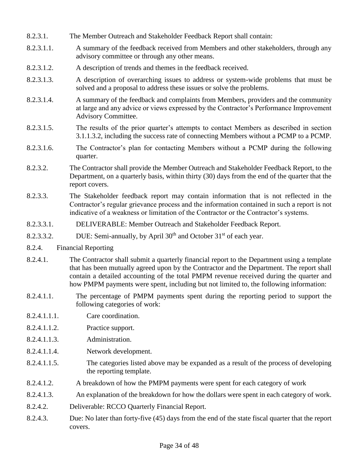- 8.2.3.1. The Member Outreach and Stakeholder Feedback Report shall contain:
- 8.2.3.1.1. A summary of the feedback received from Members and other stakeholders, through any advisory committee or through any other means.
- 8.2.3.1.2. A description of trends and themes in the feedback received.
- 8.2.3.1.3. A description of overarching issues to address or system-wide problems that must be solved and a proposal to address these issues or solve the problems.
- 8.2.3.1.4. A summary of the feedback and complaints from Members, providers and the community at large and any advice or views expressed by the Contractor's Performance Improvement Advisory Committee.
- 8.2.3.1.5. The results of the prior quarter's attempts to contact Members as described in section 3.1.1.3.2, including the success rate of connecting Members without a PCMP to a PCMP.
- 8.2.3.1.6. The Contractor's plan for contacting Members without a PCMP during the following quarter.
- 8.2.3.2. The Contractor shall provide the Member Outreach and Stakeholder Feedback Report, to the Department, on a quarterly basis, within thirty (30) days from the end of the quarter that the report covers.
- 8.2.3.3. The Stakeholder feedback report may contain information that is not reflected in the Contractor's regular grievance process and the information contained in such a report is not indicative of a weakness or limitation of the Contractor or the Contractor's systems.
- 8.2.3.3.1. DELIVERABLE: Member Outreach and Stakeholder Feedback Report.
- 8.2.3.3.2. DUE: Semi-annually, by April  $30<sup>th</sup>$  and October  $31<sup>st</sup>$  of each year.
- 8.2.4. Financial Reporting
- 8.2.4.1. The Contractor shall submit a quarterly financial report to the Department using a template that has been mutually agreed upon by the Contractor and the Department. The report shall contain a detailed accounting of the total PMPM revenue received during the quarter and how PMPM payments were spent, including but not limited to, the following information:
- 8.2.4.1.1. The percentage of PMPM payments spent during the reporting period to support the following categories of work:
- 8.2.4.1.1.1. Care coordination.
- 8.2.4.1.1.2. Practice support.
- 8.2.4.1.1.3. Administration.
- 8.2.4.1.1.4. Network development.
- 8.2.4.1.1.5. The categories listed above may be expanded as a result of the process of developing the reporting template.
- 8.2.4.1.2. A breakdown of how the PMPM payments were spent for each category of work
- 8.2.4.1.3. An explanation of the breakdown for how the dollars were spent in each category of work.
- 8.2.4.2. Deliverable: RCCO Quarterly Financial Report.
- 8.2.4.3. Due: No later than forty-five (45) days from the end of the state fiscal quarter that the report covers.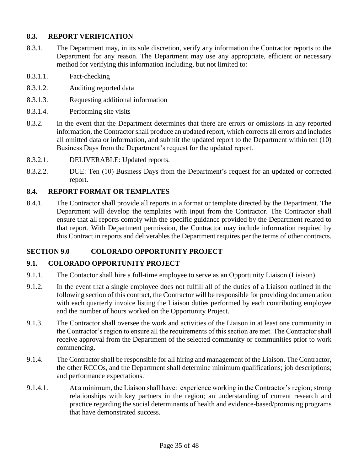# **8.3. REPORT VERIFICATION**

- 8.3.1. The Department may, in its sole discretion, verify any information the Contractor reports to the Department for any reason. The Department may use any appropriate, efficient or necessary method for verifying this information including, but not limited to:
- 8.3.1.1. Fact-checking
- 8.3.1.2. Auditing reported data
- 8.3.1.3. Requesting additional information
- 8.3.1.4. Performing site visits
- 8.3.2. In the event that the Department determines that there are errors or omissions in any reported information, the Contractor shall produce an updated report, which corrects all errors and includes all omitted data or information, and submit the updated report to the Department within ten (10) Business Days from the Department's request for the updated report.
- 8.3.2.1. DELIVERABLE: Updated reports.
- 8.3.2.2. DUE: Ten (10) Business Days from the Department's request for an updated or corrected report.

#### **8.4. REPORT FORMAT OR TEMPLATES**

8.4.1. The Contractor shall provide all reports in a format or template directed by the Department. The Department will develop the templates with input from the Contractor. The Contractor shall ensure that all reports comply with the specific guidance provided by the Department related to that report. With Department permission, the Contractor may include information required by this Contract in reports and deliverables the Department requires per the terms of other contracts.

#### **SECTION 9.0 COLORADO OPPORTUNITY PROJECT**

#### **9.1. COLORADO OPPORTUNITY PROJECT**

- 9.1.1. The Contactor shall hire a full-time employee to serve as an Opportunity Liaison (Liaison).
- 9.1.2. In the event that a single employee does not fulfill all of the duties of a Liaison outlined in the following section of this contract, the Contractor will be responsible for providing documentation with each quarterly invoice listing the Liaison duties performed by each contributing employee and the number of hours worked on the Opportunity Project.
- 9.1.3. The Contractor shall oversee the work and activities of the Liaison in at least one community in the Contractor's region to ensure all the requirements of this section are met. The Contractor shall receive approval from the Department of the selected community or communities prior to work commencing.
- 9.1.4. The Contractor shall be responsible for all hiring and management of the Liaison. The Contractor, the other RCCOs, and the Department shall determine minimum qualifications; job descriptions; and performance expectations.
- 9.1.4.1. At a minimum, the Liaison shall have: experience working in the Contractor's region; strong relationships with key partners in the region; an understanding of current research and practice regarding the social determinants of health and evidence-based/promising programs that have demonstrated success.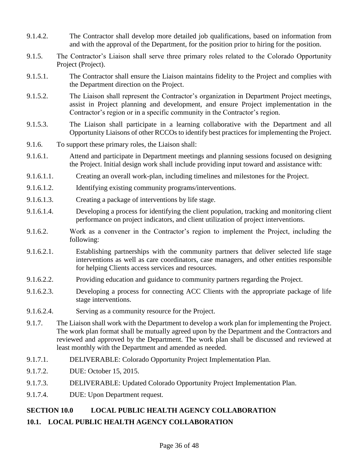- 9.1.4.2. The Contractor shall develop more detailed job qualifications, based on information from and with the approval of the Department, for the position prior to hiring for the position.
- 9.1.5. The Contractor's Liaison shall serve three primary roles related to the Colorado Opportunity Project (Project).
- 9.1.5.1. The Contractor shall ensure the Liaison maintains fidelity to the Project and complies with the Department direction on the Project.
- 9.1.5.2. The Liaison shall represent the Contractor's organization in Department Project meetings, assist in Project planning and development, and ensure Project implementation in the Contractor's region or in a specific community in the Contractor's region.
- 9.1.5.3. The Liaison shall participate in a learning collaborative with the Department and all Opportunity Liaisons of other RCCOs to identify best practices for implementing the Project.
- 9.1.6. To support these primary roles, the Liaison shall:
- 9.1.6.1. Attend and participate in Department meetings and planning sessions focused on designing the Project. Initial design work shall include providing input toward and assistance with:
- 9.1.6.1.1. Creating an overall work-plan, including timelines and milestones for the Project.
- 9.1.6.1.2. Identifying existing community programs/interventions.
- 9.1.6.1.3. Creating a package of interventions by life stage.
- 9.1.6.1.4. Developing a process for identifying the client population, tracking and monitoring client performance on project indicators, and client utilization of project interventions.
- 9.1.6.2. Work as a convener in the Contractor's region to implement the Project, including the following:
- 9.1.6.2.1. Establishing partnerships with the community partners that deliver selected life stage interventions as well as care coordinators, case managers, and other entities responsible for helping Clients access services and resources.
- 9.1.6.2.2. Providing education and guidance to community partners regarding the Project.
- 9.1.6.2.3. Developing a process for connecting ACC Clients with the appropriate package of life stage interventions.
- 9.1.6.2.4. Serving as a community resource for the Project.
- 9.1.7. The Liaison shall work with the Department to develop a work plan for implementing the Project. The work plan format shall be mutually agreed upon by the Department and the Contractors and reviewed and approved by the Department. The work plan shall be discussed and reviewed at least monthly with the Department and amended as needed.
- 9.1.7.1. DELIVERABLE: Colorado Opportunity Project Implementation Plan.
- 9.1.7.2. DUE: October 15, 2015.
- 9.1.7.3. DELIVERABLE: Updated Colorado Opportunity Project Implementation Plan.
- 9.1.7.4. DUE: Upon Department request.

# **SECTION 10.0 LOCAL PUBLIC HEALTH AGENCY COLLABORATION**

**10.1. LOCAL PUBLIC HEALTH AGENCY COLLABORATION**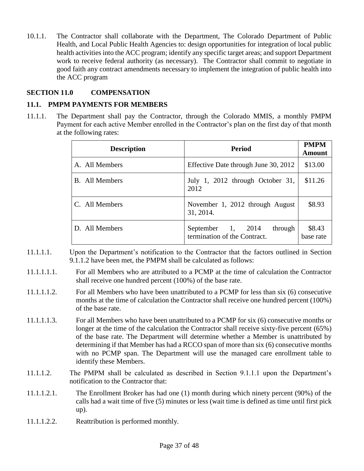10.1.1. The Contractor shall collaborate with the Department, The Colorado Department of Public Health, and Local Public Health Agencies to: design opportunities for integration of local public health activities into the ACC program; identify any specific target areas; and support Department work to receive federal authority (as necessary). The Contractor shall commit to negotiate in good faith any contract amendments necessary to implement the integration of public health into the ACC program

# **SECTION 11.0 COMPENSATION**

#### **11.1. PMPM PAYMENTS FOR MEMBERS**

11.1.1. The Department shall pay the Contractor, through the Colorado MMIS, a monthly PMPM Payment for each active Member enrolled in the Contractor's plan on the first day of that month at the following rates:

| <b>Description</b>    | <b>Period</b>                                                | <b>PMPM</b><br><b>Amount</b> |
|-----------------------|--------------------------------------------------------------|------------------------------|
| A. All Members        | Effective Date through June 30, 2012                         | \$13.00                      |
| <b>B.</b> All Members | July 1, 2012 through October 31,<br>2012                     | \$11.26                      |
| C. All Members        | November 1, 2012 through August<br>31, 2014.                 | \$8.93                       |
| D. All Members        | September 1, 2014<br>through<br>termination of the Contract. | \$8.43<br>base rate          |

- 11.1.1.1. Upon the Department's notification to the Contractor that the factors outlined in Section 9.1.1.2 have been met, the PMPM shall be calculated as follows:
- 11.1.1.1.1. For all Members who are attributed to a PCMP at the time of calculation the Contractor shall receive one hundred percent (100%) of the base rate.
- 11.1.1.1.2. For all Members who have been unattributed to a PCMP for less than six (6) consecutive months at the time of calculation the Contractor shall receive one hundred percent (100%) of the base rate.
- 11.1.1.1.3. For all Members who have been unattributed to a PCMP for six (6) consecutive months or longer at the time of the calculation the Contractor shall receive sixty-five percent (65%) of the base rate. The Department will determine whether a Member is unattributed by determining if that Member has had a RCCO span of more than six (6) consecutive months with no PCMP span. The Department will use the managed care enrollment table to identify these Members.
- 11.1.1.2. The PMPM shall be calculated as described in Section 9.1.1.1 upon the Department's notification to the Contractor that:
- 11.1.1.2.1. The Enrollment Broker has had one (1) month during which ninety percent (90%) of the calls had a wait time of five (5) minutes or less (wait time is defined as time until first pick up).
- 11.1.1.2.2. Reattribution is performed monthly.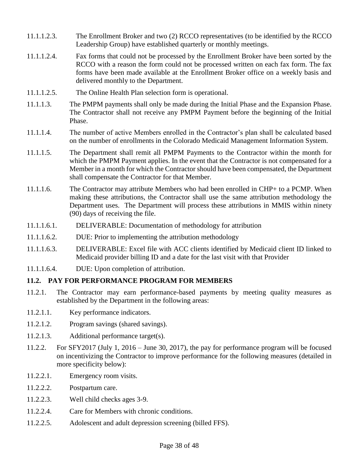- 11.1.1.2.3. The Enrollment Broker and two (2) RCCO representatives (to be identified by the RCCO Leadership Group) have established quarterly or monthly meetings.
- 11.1.1.2.4. Fax forms that could not be processed by the Enrollment Broker have been sorted by the RCCO with a reason the form could not be processed written on each fax form. The fax forms have been made available at the Enrollment Broker office on a weekly basis and delivered monthly to the Department.
- 11.1.1.2.5. The Online Health Plan selection form is operational.
- 11.1.1.3. The PMPM payments shall only be made during the Initial Phase and the Expansion Phase. The Contractor shall not receive any PMPM Payment before the beginning of the Initial Phase.
- 11.1.1.4. The number of active Members enrolled in the Contractor's plan shall be calculated based on the number of enrollments in the Colorado Medicaid Management Information System.
- 11.1.1.5. The Department shall remit all PMPM Payments to the Contractor within the month for which the PMPM Payment applies. In the event that the Contractor is not compensated for a Member in a month for which the Contractor should have been compensated, the Department shall compensate the Contractor for that Member.
- 11.1.1.6. The Contractor may attribute Members who had been enrolled in CHP+ to a PCMP. When making these attributions, the Contractor shall use the same attribution methodology the Department uses. The Department will process these attributions in MMIS within ninety (90) days of receiving the file.
- 11.1.1.6.1. DELIVERABLE: Documentation of methodology for attribution
- 11.1.1.6.2. DUE: Prior to implementing the attribution methodology
- 11.1.1.6.3. DELIVERABLE: Excel file with ACC clients identified by Medicaid client ID linked to Medicaid provider billing ID and a date for the last visit with that Provider
- 11.1.1.6.4. DUE: Upon completion of attribution.

#### **11.2. PAY FOR PERFORMANCE PROGRAM FOR MEMBERS**

- 11.2.1. The Contractor may earn performance-based payments by meeting quality measures as established by the Department in the following areas:
- 11.2.1.1. Key performance indicators.
- 11.2.1.2. Program savings (shared savings).
- 11.2.1.3. Additional performance target(s).
- 11.2.2. For SFY2017 (July 1, 2016 June 30, 2017), the pay for performance program will be focused on incentivizing the Contractor to improve performance for the following measures (detailed in more specificity below):
- 11.2.2.1. Emergency room visits.
- 11.2.2.2. Postpartum care.
- 11.2.2.3. Well child checks ages 3-9.
- 11.2.2.4. Care for Members with chronic conditions.
- 11.2.2.5. Adolescent and adult depression screening (billed FFS).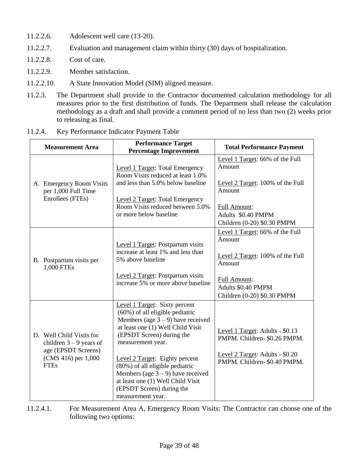- 11.2.2.6. Adolescent well care (13-20).
- 11.2.2.7. Evaluation and management claim within thirty (30) days of hospitalization.
- 11.2.2.8. Cost of care.
- 11.2.2.9. Member satisfaction.
- 11.2.2.10. A State Innovation Model (SIM) aligned measure.
- 11.2.3. The Department shall provide to the Contractor documented calculation methodology for all measures prior to the first distribution of funds. The Department shall release the calculation methodology as a draft and shall provide a comment period of no less than two (2) weeks prior to releasing as final.

| Key Performance Indicator Payment Table<br>11.2.4. |
|----------------------------------------------------|
|----------------------------------------------------|

| <b>Measurement Area</b>                                                                                            | <b>Performance Target</b><br><b>Percentage Improvement</b>                                                                                                                                                                                                                                                                                                                                             | <b>Total Performance Payment</b>                                                                                                                             |
|--------------------------------------------------------------------------------------------------------------------|--------------------------------------------------------------------------------------------------------------------------------------------------------------------------------------------------------------------------------------------------------------------------------------------------------------------------------------------------------------------------------------------------------|--------------------------------------------------------------------------------------------------------------------------------------------------------------|
| A. Emergency Room Visits<br>per 1,000 Full Time<br>Enrollees (FTEs)                                                | Level 1 Target: Total Emergency<br>Room Visits reduced at least 1.0%<br>and less than 5.0% below baseline<br><b>Level 2 Target: Total Emergency</b><br>Room Visits reduced between 5.0%<br>or more below baseline                                                                                                                                                                                      | Level 1 Target: 66% of the Full<br>Amount<br>Level 2 Target: 100% of the Full<br>Amount<br>Full Amount:<br>Adults \$0.40 PMPM<br>Children (0-20) \$0.30 PMPM |
| B. Postpartum visits per<br>1,000 FTEs                                                                             | Level 1 Target: Postpartum visits<br>increase at least 1% and less than<br>5% above baseline<br>Level 2 Target: Postpartum visits<br>increase 5% or more above baseline                                                                                                                                                                                                                                | Level 1 Target: 66% of the Full<br>Amount<br>Level 2 Target: 100% of the Full<br>Amount<br>Full Amount:<br>Adults \$0.40 PMPM<br>Children (0-20) \$0.30 PMPM |
| D. Well Child Visits for<br>children $3 - 9$ years of<br>age (EPSDT Screens)<br>(CMS 416) per 1,000<br><b>FTEs</b> | Level 1 Target: Sixty percent<br>$(60\%)$ of all eligible pediatric<br>Members (age $3 - 9$ ) have received<br>at least one (1) Well Child Visit<br>(EPSDT Screen) during the<br>measurement year.<br>Level 2 Target: Eighty percent<br>(80%) of all eligible pediatric<br>Members (age $3 - 9$ ) have received<br>at least one (1) Well Child Visit<br>(EPSDT Screen) during the<br>measurement year. | Level 1 Target: Adults - \$0.13<br>PMPM. Children-\$0.26 PMPM.<br>Level 2 Target: Adults - \$0.20<br>PMPM. Children- \$0.40 PMPM.                            |

11.2.4.1. For Measurement Area A, Emergency Room Visits: The Contractor can choose one of the following two options: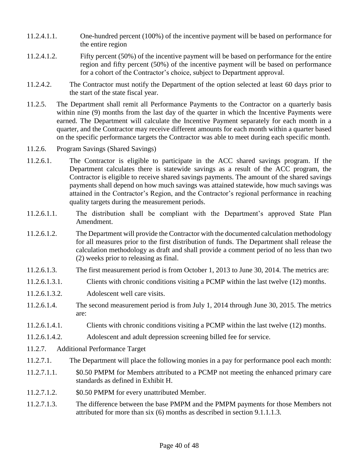- 11.2.4.1.1. One-hundred percent (100%) of the incentive payment will be based on performance for the entire region
- 11.2.4.1.2. Fifty percent (50%) of the incentive payment will be based on performance for the entire region and fifty percent (50%) of the incentive payment will be based on performance for a cohort of the Contractor's choice, subject to Department approval.
- 11.2.4.2. The Contractor must notify the Department of the option selected at least 60 days prior to the start of the state fiscal year.
- 11.2.5. The Department shall remit all Performance Payments to the Contractor on a quarterly basis within nine (9) months from the last day of the quarter in which the Incentive Payments were earned. The Department will calculate the Incentive Payment separately for each month in a quarter, and the Contractor may receive different amounts for each month within a quarter based on the specific performance targets the Contractor was able to meet during each specific month.
- 11.2.6. Program Savings (Shared Savings)
- 11.2.6.1. The Contractor is eligible to participate in the ACC shared savings program. If the Department calculates there is statewide savings as a result of the ACC program, the Contractor is eligible to receive shared savings payments. The amount of the shared savings payments shall depend on how much savings was attained statewide, how much savings was attained in the Contractor's Region, and the Contractor's regional performance in reaching quality targets during the measurement periods.
- 11.2.6.1.1. The distribution shall be compliant with the Department's approved State Plan Amendment.
- 11.2.6.1.2. The Department will provide the Contractor with the documented calculation methodology for all measures prior to the first distribution of funds. The Department shall release the calculation methodology as draft and shall provide a comment period of no less than two (2) weeks prior to releasing as final.
- 11.2.6.1.3. The first measurement period is from October 1, 2013 to June 30, 2014. The metrics are:
- 11.2.6.1.3.1. Clients with chronic conditions visiting a PCMP within the last twelve (12) months.
- 11.2.6.1.3.2. Adolescent well care visits.
- 11.2.6.1.4. The second measurement period is from July 1, 2014 through June 30, 2015. The metrics are:
- 11.2.6.1.4.1. Clients with chronic conditions visiting a PCMP within the last twelve (12) months.
- 11.2.6.1.4.2. Adolescent and adult depression screening billed fee for service.
- 11.2.7. Additional Performance Target
- 11.2.7.1. The Department will place the following monies in a pay for performance pool each month:
- 11.2.7.1.1. \$0.50 PMPM for Members attributed to a PCMP not meeting the enhanced primary care standards as defined in Exhibit H.
- 11.2.7.1.2. \$0.50 PMPM for every unattributed Member.
- 11.2.7.1.3. The difference between the base PMPM and the PMPM payments for those Members not attributed for more than six (6) months as described in section 9.1.1.1.3.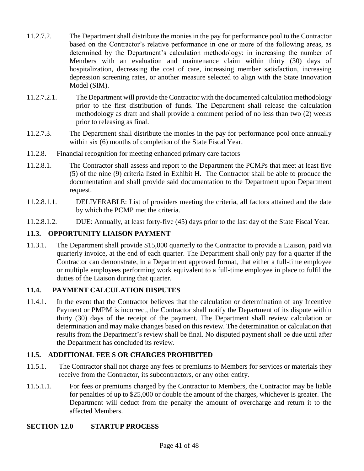- 11.2.7.2. The Department shall distribute the monies in the pay for performance pool to the Contractor based on the Contractor's relative performance in one or more of the following areas, as determined by the Department's calculation methodology: in increasing the number of Members with an evaluation and maintenance claim within thirty (30) days of hospitalization, decreasing the cost of care, increasing member satisfaction, increasing depression screening rates, or another measure selected to align with the State Innovation Model (SIM).
- 11.2.7.2.1. The Department will provide the Contractor with the documented calculation methodology prior to the first distribution of funds. The Department shall release the calculation methodology as draft and shall provide a comment period of no less than two (2) weeks prior to releasing as final.
- 11.2.7.3. The Department shall distribute the monies in the pay for performance pool once annually within six (6) months of completion of the State Fiscal Year.
- 11.2.8. Financial recognition for meeting enhanced primary care factors
- 11.2.8.1. The Contractor shall assess and report to the Department the PCMPs that meet at least five (5) of the nine (9) criteria listed in Exhibit H. The Contractor shall be able to produce the documentation and shall provide said documentation to the Department upon Department request.
- 11.2.8.1.1. DELIVERABLE: List of providers meeting the criteria, all factors attained and the date by which the PCMP met the criteria.
- 11.2.8.1.2. DUE: Annually, at least forty-five (45) days prior to the last day of the State Fiscal Year.

# **11.3. OPPORTUNITY LIAISON PAYMENT**

11.3.1. The Department shall provide \$15,000 quarterly to the Contractor to provide a Liaison, paid via quarterly invoice, at the end of each quarter. The Department shall only pay for a quarter if the Contractor can demonstrate, in a Department approved format, that either a full-time employee or multiple employees performing work equivalent to a full-time employee in place to fulfil the duties of the Liaison during that quarter.

# **11.4. PAYMENT CALCULATION DISPUTES**

11.4.1. In the event that the Contractor believes that the calculation or determination of any Incentive Payment or PMPM is incorrect, the Contractor shall notify the Department of its dispute within thirty (30) days of the receipt of the payment. The Department shall review calculation or determination and may make changes based on this review. The determination or calculation that results from the Department's review shall be final. No disputed payment shall be due until after the Department has concluded its review.

# **11.5. ADDITIONAL FEE S OR CHARGES PROHIBITED**

- 11.5.1. The Contractor shall not charge any fees or premiums to Members for services or materials they receive from the Contractor, its subcontractors, or any other entity.
- 11.5.1.1. For fees or premiums charged by the Contractor to Members, the Contractor may be liable for penalties of up to \$25,000 or double the amount of the charges, whichever is greater. The Department will deduct from the penalty the amount of overcharge and return it to the affected Members.

#### **SECTION 12.0 STARTUP PROCESS**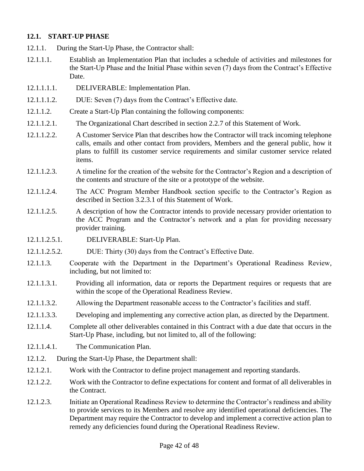#### **12.1. START-UP PHASE**

- 12.1.1. During the Start-Up Phase, the Contractor shall:
- 12.1.1.1. Establish an Implementation Plan that includes a schedule of activities and milestones for the Start-Up Phase and the Initial Phase within seven (7) days from the Contract's Effective Date.
- 12.1.1.1.1. DELIVERABLE: Implementation Plan.
- 12.1.1.1.2. DUE: Seven (7) days from the Contract's Effective date.
- 12.1.1.2. Create a Start-Up Plan containing the following components:
- 12.1.1.2.1. The Organizational Chart described in section 2.2.7 of this Statement of Work.
- 12.1.1.2.2. A Customer Service Plan that describes how the Contractor will track incoming telephone calls, emails and other contact from providers, Members and the general public, how it plans to fulfill its customer service requirements and similar customer service related items.
- 12.1.1.2.3. A timeline for the creation of the website for the Contractor's Region and a description of the contents and structure of the site or a prototype of the website.
- 12.1.1.2.4. The ACC Program Member Handbook section specific to the Contractor's Region as described in Section 3.2.3.1 of this Statement of Work.
- 12.1.1.2.5. A description of how the Contractor intends to provide necessary provider orientation to the ACC Program and the Contractor's network and a plan for providing necessary provider training.
- 12.1.1.2.5.1. DELIVERABLE: Start-Up Plan.
- 12.1.1.2.5.2. DUE: Thirty (30) days from the Contract's Effective Date.
- 12.1.1.3. Cooperate with the Department in the Department's Operational Readiness Review, including, but not limited to:
- 12.1.1.3.1. Providing all information, data or reports the Department requires or requests that are within the scope of the Operational Readiness Review.
- 12.1.1.3.2. Allowing the Department reasonable access to the Contractor's facilities and staff.
- 12.1.1.3.3. Developing and implementing any corrective action plan, as directed by the Department.
- 12.1.1.4. Complete all other deliverables contained in this Contract with a due date that occurs in the Start-Up Phase, including, but not limited to, all of the following:
- 12.1.1.4.1. The Communication Plan.
- 12.1.2. During the Start-Up Phase, the Department shall:
- 12.1.2.1. Work with the Contractor to define project management and reporting standards.
- 12.1.2.2. Work with the Contractor to define expectations for content and format of all deliverables in the Contract.
- 12.1.2.3. Initiate an Operational Readiness Review to determine the Contractor's readiness and ability to provide services to its Members and resolve any identified operational deficiencies. The Department may require the Contractor to develop and implement a corrective action plan to remedy any deficiencies found during the Operational Readiness Review.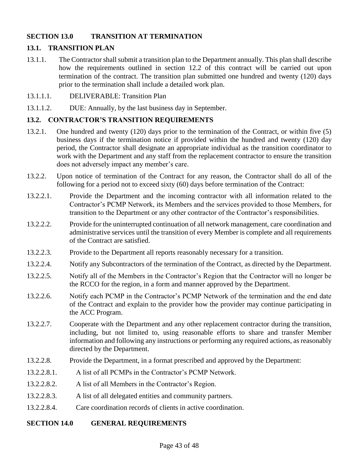### **SECTION 13.0 TRANSITION AT TERMINATION**

# **13.1. TRANSITION PLAN**

13.1.1. The Contractor shall submit a transition plan to the Department annually. This plan shall describe how the requirements outlined in section 12.2 of this contract will be carried out upon termination of the contract. The transition plan submitted one hundred and twenty (120) days prior to the termination shall include a detailed work plan.

#### 13.1.1.1. DELIVERABLE: Transition Plan

13.1.1.2. DUE: Annually, by the last business day in September.

#### **13.2. CONTRACTOR'S TRANSITION REQUIREMENTS**

- 13.2.1. One hundred and twenty (120) days prior to the termination of the Contract, or within five (5) business days if the termination notice if provided within the hundred and twenty (120) day period, the Contractor shall designate an appropriate individual as the transition coordinator to work with the Department and any staff from the replacement contractor to ensure the transition does not adversely impact any member's care.
- 13.2.2. Upon notice of termination of the Contract for any reason, the Contractor shall do all of the following for a period not to exceed sixty (60) days before termination of the Contract:
- 13.2.2.1. Provide the Department and the incoming contractor with all information related to the Contractor's PCMP Network, its Members and the services provided to those Members, for transition to the Department or any other contractor of the Contractor's responsibilities.
- 13.2.2.2. Provide for the uninterrupted continuation of all network management, care coordination and administrative services until the transition of every Member is complete and all requirements of the Contract are satisfied.
- 13.2.2.3. Provide to the Department all reports reasonably necessary for a transition.
- 13.2.2.4. Notify any Subcontractors of the termination of the Contract, as directed by the Department.
- 13.2.2.5. Notify all of the Members in the Contractor's Region that the Contractor will no longer be the RCCO for the region, in a form and manner approved by the Department.
- 13.2.2.6. Notify each PCMP in the Contractor's PCMP Network of the termination and the end date of the Contract and explain to the provider how the provider may continue participating in the ACC Program.
- 13.2.2.7. Cooperate with the Department and any other replacement contractor during the transition, including, but not limited to, using reasonable efforts to share and transfer Member information and following any instructions or performing any required actions, as reasonably directed by the Department.
- 13.2.2.8. Provide the Department, in a format prescribed and approved by the Department:
- 13.2.2.8.1. A list of all PCMPs in the Contractor's PCMP Network.
- 13.2.2.8.2. A list of all Members in the Contractor's Region.
- 13.2.2.8.3. A list of all delegated entities and community partners.
- 13.2.2.8.4. Care coordination records of clients in active coordination.

#### **SECTION 14.0 GENERAL REQUIREMENTS**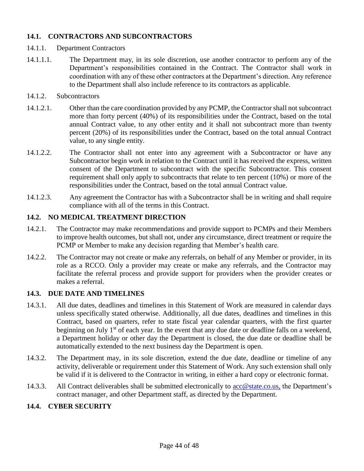# **14.1. CONTRACTORS AND SUBCONTRACTORS**

- 14.1.1. Department Contractors
- 14.1.1.1. The Department may, in its sole discretion, use another contractor to perform any of the Department's responsibilities contained in the Contract. The Contractor shall work in coordination with any of these other contractors at the Department's direction. Any reference to the Department shall also include reference to its contractors as applicable.
- 14.1.2. Subcontractors
- 14.1.2.1. Other than the care coordination provided by any PCMP, the Contractor shall not subcontract more than forty percent (40%) of its responsibilities under the Contract, based on the total annual Contract value, to any other entity and it shall not subcontract more than twenty percent (20%) of its responsibilities under the Contract, based on the total annual Contract value, to any single entity.
- 14.1.2.2. The Contractor shall not enter into any agreement with a Subcontractor or have any Subcontractor begin work in relation to the Contract until it has received the express, written consent of the Department to subcontract with the specific Subcontractor. This consent requirement shall only apply to subcontracts that relate to ten percent (10%) or more of the responsibilities under the Contract, based on the total annual Contract value.
- 14.1.2.3. Any agreement the Contractor has with a Subcontractor shall be in writing and shall require compliance with all of the terms in this Contract.

#### **14.2. NO MEDICAL TREATMENT DIRECTION**

- 14.2.1. The Contractor may make recommendations and provide support to PCMPs and their Members to improve health outcomes, but shall not, under any circumstance, direct treatment or require the PCMP or Member to make any decision regarding that Member's health care.
- 14.2.2. The Contractor may not create or make any referrals, on behalf of any Member or provider, in its role as a RCCO. Only a provider may create or make any referrals, and the Contractor may facilitate the referral process and provide support for providers when the provider creates or makes a referral.

#### **14.3. DUE DATE AND TIMELINES**

- 14.3.1. All due dates, deadlines and timelines in this Statement of Work are measured in calendar days unless specifically stated otherwise. Additionally, all due dates, deadlines and timelines in this Contract, based on quarters, refer to state fiscal year calendar quarters, with the first quarter beginning on July  $1<sup>st</sup>$  of each year. In the event that any due date or deadline falls on a weekend, a Department holiday or other day the Department is closed, the due date or deadline shall be automatically extended to the next business day the Department is open.
- 14.3.2. The Department may, in its sole discretion, extend the due date, deadline or timeline of any activity, deliverable or requirement under this Statement of Work. Any such extension shall only be valid if it is delivered to the Contractor in writing, in either a hard copy or electronic format.
- 14.3.3. All Contract deliverables shall be submitted electronically to [acc@state.co.us,](mailto:acc@state.co.us) the Department's contract manager, and other Department staff, as directed by the Department.

# **14.4. CYBER SECURITY**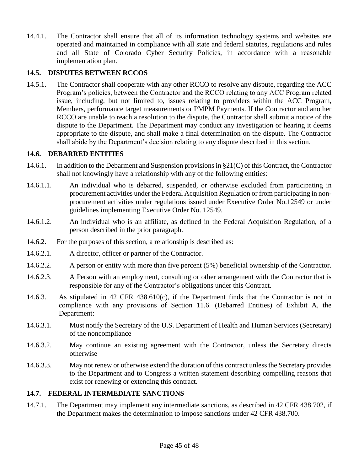14.4.1. The Contractor shall ensure that all of its information technology systems and websites are operated and maintained in compliance with all state and federal statutes, regulations and rules and all State of Colorado Cyber Security Policies, in accordance with a reasonable implementation plan.

# **14.5. DISPUTES BETWEEN RCCOS**

14.5.1. The Contractor shall cooperate with any other RCCO to resolve any dispute, regarding the ACC Program's policies, between the Contractor and the RCCO relating to any ACC Program related issue, including, but not limited to, issues relating to providers within the ACC Program, Members, performance target measurements or PMPM Payments. If the Contractor and another RCCO are unable to reach a resolution to the dispute, the Contractor shall submit a notice of the dispute to the Department. The Department may conduct any investigation or hearing it deems appropriate to the dispute, and shall make a final determination on the dispute. The Contractor shall abide by the Department's decision relating to any dispute described in this section.

# **14.6. DEBARRED ENTITIES**

- 14.6.1. In addition to the Debarment and Suspension provisions in §21(C) of this Contract, the Contractor shall not knowingly have a relationship with any of the following entities:
- 14.6.1.1. An individual who is debarred, suspended, or otherwise excluded from participating in procurement activities under the Federal Acquisition Regulation or from participating in nonprocurement activities under regulations issued under Executive Order No.12549 or under guidelines implementing Executive Order No. 12549.
- 14.6.1.2. An individual who is an affiliate, as defined in the Federal Acquisition Regulation, of a person described in the prior paragraph.
- 14.6.2. For the purposes of this section, a relationship is described as:
- 14.6.2.1. A director, officer or partner of the Contractor.
- 14.6.2.2. A person or entity with more than five percent (5%) beneficial ownership of the Contractor.
- 14.6.2.3. A Person with an employment, consulting or other arrangement with the Contractor that is responsible for any of the Contractor's obligations under this Contract.
- 14.6.3. As stipulated in 42 CFR 438.610(c), if the Department finds that the Contractor is not in compliance with any provisions of Section 11.6. (Debarred Entities) of Exhibit A, the Department:
- 14.6.3.1. Must notify the Secretary of the U.S. Department of Health and Human Services (Secretary) of the noncompliance
- 14.6.3.2. May continue an existing agreement with the Contractor, unless the Secretary directs otherwise
- 14.6.3.3. May not renew or otherwise extend the duration of this contract unless the Secretary provides to the Department and to Congress a written statement describing compelling reasons that exist for renewing or extending this contract.

#### **14.7. FEDERAL INTERMEDIATE SANCTIONS**

14.7.1. The Department may implement any intermediate sanctions, as described in 42 CFR 438.702, if the Department makes the determination to impose sanctions under 42 CFR 438.700.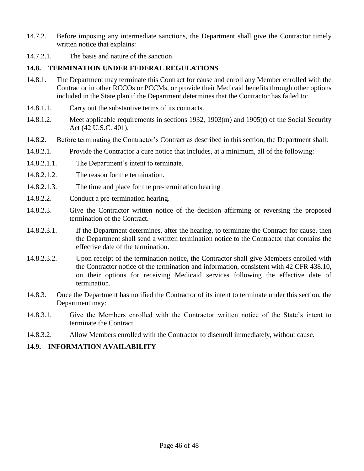- 14.7.2. Before imposing any intermediate sanctions, the Department shall give the Contractor timely written notice that explains:
- 14.7.2.1. The basis and nature of the sanction.

# **14.8. TERMINATION UNDER FEDERAL REGULATIONS**

- 14.8.1. The Department may terminate this Contract for cause and enroll any Member enrolled with the Contractor in other RCCOs or PCCMs, or provide their Medicaid benefits through other options included in the State plan if the Department determines that the Contractor has failed to:
- 14.8.1.1. Carry out the substantive terms of its contracts.
- 14.8.1.2. Meet applicable requirements in sections 1932, 1903(m) and 1905(t) of the Social Security Act (42 U.S.C. 401).
- 14.8.2. Before terminating the Contractor's Contract as described in this section, the Department shall:
- 14.8.2.1. Provide the Contractor a cure notice that includes, at a minimum, all of the following:
- 14.8.2.1.1. The Department's intent to terminate.
- 14.8.2.1.2. The reason for the termination.
- 14.8.2.1.3. The time and place for the pre-termination hearing
- 14.8.2.2. Conduct a pre-termination hearing.
- 14.8.2.3. Give the Contractor written notice of the decision affirming or reversing the proposed termination of the Contract.
- 14.8.2.3.1. If the Department determines, after the hearing, to terminate the Contract for cause, then the Department shall send a written termination notice to the Contractor that contains the effective date of the termination.
- 14.8.2.3.2. Upon receipt of the termination notice, the Contractor shall give Members enrolled with the Contractor notice of the termination and information, consistent with 42 CFR 438.10, on their options for receiving Medicaid services following the effective date of termination.
- 14.8.3. Once the Department has notified the Contractor of its intent to terminate under this section, the Department may:
- 14.8.3.1. Give the Members enrolled with the Contractor written notice of the State's intent to terminate the Contract.
- 14.8.3.2. Allow Members enrolled with the Contractor to disenroll immediately, without cause.

#### **14.9. INFORMATION AVAILABILITY**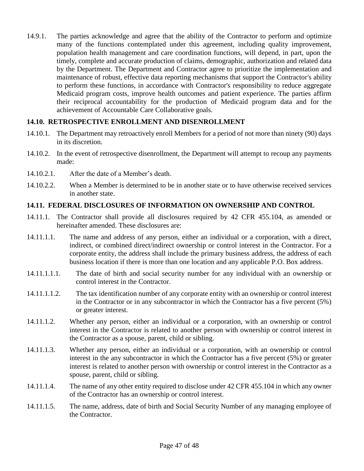14.9.1. The parties acknowledge and agree that the ability of the Contractor to perform and optimize many of the functions contemplated under this agreement, including quality improvement, population health management and care coordination functions, will depend, in part, upon the timely, complete and accurate production of claims, demographic, authorization and related data by the Department. The Department and Contractor agree to prioritize the implementation and maintenance of robust, effective data reporting mechanisms that support the Contractor's ability to perform these functions, in accordance with Contractor's responsibility to reduce aggregate Medicaid program costs, improve health outcomes and patient experience. The parties affirm their reciprocal accountability for the production of Medicaid program data and for the achievement of Accountable Care Collaborative goals.

#### **14.10. RETROSPECTIVE ENROLLMENT AND DISENROLLMENT**

- 14.10.1. The Department may retroactively enroll Members for a period of not more than ninety (90) days in its discretion.
- 14.10.2. In the event of retrospective disenrollment, the Department will attempt to recoup any payments made:
- 14.10.2.1. After the date of a Member's death.
- 14.10.2.2. When a Member is determined to be in another state or to have otherwise received services in another state.

#### **14.11. FEDERAL DISCLOSURES OF INFORMATION ON OWNERSHIP AND CONTROL**

- 14.11.1. The Contractor shall provide all disclosures required by 42 CFR 455.104, as amended or hereinafter amended. These disclosures are:
- 14.11.1.1. The name and address of any person, either an individual or a corporation, with a direct, indirect, or combined direct/indirect ownership or control interest in the Contractor. For a corporate entity, the address shall include the primary business address, the address of each business location if there is more than one location and any applicable P.O. Box address.
- 14.11.1.1.1. The date of birth and social security number for any individual with an ownership or control interest in the Contractor.
- 14.11.1.1.2. The tax identification number of any corporate entity with an ownership or control interest in the Contractor or in any subcontractor in which the Contractor has a five percent (5%) or greater interest.
- 14.11.1.2. Whether any person, either an individual or a corporation, with an ownership or control interest in the Contractor is related to another person with ownership or control interest in the Contractor as a spouse, parent, child or sibling.
- 14.11.1.3. Whether any person, either an individual or a corporation, with an ownership or control interest in the any subcontractor in which the Contractor has a five percent (5%) or greater interest is related to another person with ownership or control interest in the Contractor as a spouse, parent, child or sibling.
- 14.11.1.4. The name of any other entity required to disclose under 42 CFR 455.104 in which any owner of the Contractor has an ownership or control interest.
- 14.11.1.5. The name, address, date of birth and Social Security Number of any managing employee of the Contractor.